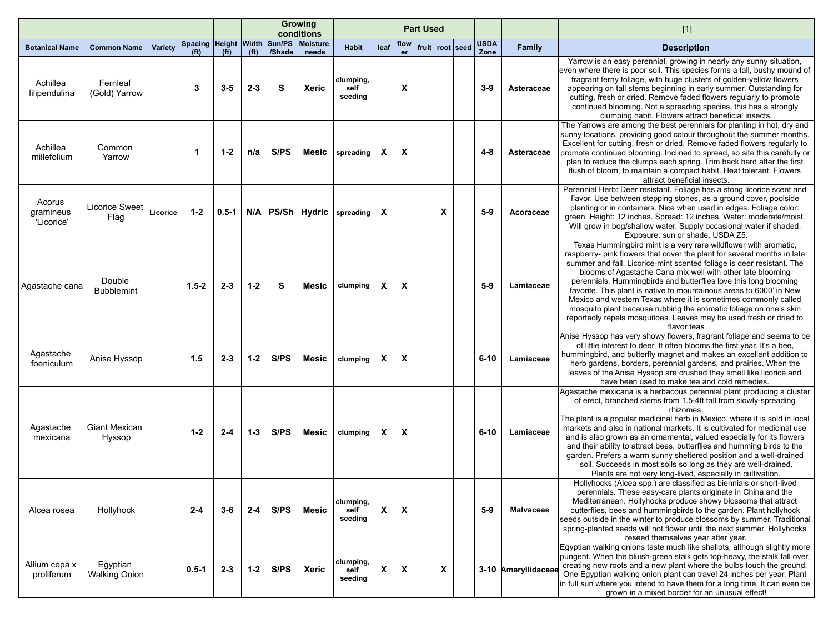|                                   |                                  |          |                   |                   |                   |        | Growing<br>conditions                         |                                  |                           |            | <b>Part Used</b> |   |                   |                     |                     | $[1]$                                                                                                                                                                                                                                                                                                                                                                                                                                                                                                                                                                                                                                                                      |
|-----------------------------------|----------------------------------|----------|-------------------|-------------------|-------------------|--------|-----------------------------------------------|----------------------------------|---------------------------|------------|------------------|---|-------------------|---------------------|---------------------|----------------------------------------------------------------------------------------------------------------------------------------------------------------------------------------------------------------------------------------------------------------------------------------------------------------------------------------------------------------------------------------------------------------------------------------------------------------------------------------------------------------------------------------------------------------------------------------------------------------------------------------------------------------------------|
| <b>Botanical Name</b>             | <b>Common Name</b>               | Variety  | (f <sup>t</sup> ) | (f <sup>t</sup> ) | (f <sup>t</sup> ) | /Shade | Spacing Height Width Sun/PS Moisture<br>needs | <b>Habit</b>                     | leaf                      | flow<br>er |                  |   | fruit ∣root ∣seed | <b>USDA</b><br>Zone | Family              | <b>Description</b>                                                                                                                                                                                                                                                                                                                                                                                                                                                                                                                                                                                                                                                         |
| Achillea<br>filipendulina         | Fernleaf<br>(Gold) Yarrow        |          | 3                 | $3 - 5$           | $2 - 3$           | s      | <b>Xeric</b>                                  | clumping,<br>self<br>seeding     |                           | X          |                  |   |                   | $3-9$               | Asteraceae          | Yarrow is an easy perennial, growing in nearly any sunny situation,<br>even where there is poor soil. This species forms a tall, bushy mound of<br>fragrant ferny foliage, with huge clusters of golden-yellow flowers<br>appearing on tall stems beginning in early summer. Outstanding for<br>cutting, fresh or dried. Remove faded flowers regularly to promote<br>continued blooming. Not a spreading species, this has a strongly<br>clumping habit. Flowers attract beneficial insects.                                                                                                                                                                              |
| Achillea<br>millefolium           | Common<br>Yarrow                 |          | -1                | $1 - 2$           | n/a               | S/PS   | Mesic                                         | spreading                        | $\mathbf{x}$              | X          |                  |   |                   | $4 - 8$             | Asteraceae          | The Yarrows are among the best perennials for planting in hot, dry and<br>sunny locations, providing good colour throughout the summer months.<br>Excellent for cutting, fresh or dried. Remove faded flowers regularly to<br>promote continued blooming. Inclined to spread, so site this carefully or<br>plan to reduce the clumps each spring. Trim back hard after the first<br>flush of bloom, to maintain a compact habit. Heat tolerant. Flowers<br>attract beneficial insects.                                                                                                                                                                                     |
| Acorus<br>gramineus<br>'Licorice' | Licorice Sweet<br>Flag           | Licorice | $1 - 2$           | $0.5 - 1$         |                   |        |                                               | N/A   PS/Sh   Hydric   spreading | $\boldsymbol{\mathsf{x}}$ |            |                  | X |                   | $5-9$               | Acoraceae           | Perennial Herb: Deer resistant. Foliage has a stong licorice scent and<br>flavor. Use between stepping stones, as a ground cover, poolside<br>planting or in containers. Nice when used in edges. Foliage color:<br>green. Height: 12 inches. Spread: 12 inches. Water: moderate/moist.<br>Will grow in bog/shallow water. Supply occasional water if shaded.<br>Exposure: sun or shade. USDA Z5.                                                                                                                                                                                                                                                                          |
| Agastache cana                    | Double<br><b>Bubblemint</b>      |          | $1.5 - 2$         | $2 - 3$           | $1 - 2$           | S      | Mesic                                         | clumping                         | X                         | X          |                  |   |                   | $5-9$               | Lamiaceae           | Texas Hummingbird mint is a very rare wildflower with aromatic,<br>raspberry- pink flowers that cover the plant for several months in late<br>summer and fall. Licorice-mint scented foliage is deer resistant. The<br>blooms of Agastache Cana mix well with other late blooming<br>perennials. Hummingbirds and butterflies love this long blooming<br>favorite. This plant is native to mountainous areas to 6000' in New<br>Mexico and western Texas where it is sometimes commonly called<br>mosquito plant because rubbing the aromatic foliage on one's skin<br>reportedly repels mosquitoes. Leaves may be used fresh or dried to<br>flavor teas                   |
| Agastache<br>foeniculum           | Anise Hyssop                     |          | 1.5               | $2 - 3$           | $1-2$             | S/PS   | Mesic                                         | clumping                         | X                         | X          |                  |   |                   | $6 - 10$            | Lamiaceae           | Anise Hyssop has very showy flowers, fragrant foliage and seems to be<br>of little interest to deer. It often blooms the first year. It's a bee,<br>hummingbird, and butterfly magnet and makes an excellent addition to<br>herb gardens, borders, perennial gardens, and prairies. When the<br>leaves of the Anise Hyssop are crushed they smell like licorice and<br>have been used to make tea and cold remedies.                                                                                                                                                                                                                                                       |
| Agastache<br>mexicana             | Giant Mexican<br>Hyssop          |          | $1 - 2$           | $2 - 4$           | $1 - 3$           | S/PS   | Mesic                                         | clumpina                         | $\mathbf{x}$              | X          |                  |   |                   | $6 - 10$            | Lamiaceae           | Agastache mexicana is a herbacous perennial plant producing a cluster<br>of erect, branched stems from 1.5-4ft tall from slowly-spreading<br>rhizomes.<br>The plant is a popular medicinal herb in Mexico, where it is sold in local<br>markets and also in national markets. It is cultivated for medicinal use<br>and is also grown as an ornamental, valued especially for its flowers<br>and their ability to attract bees, butterflies and humming birds to the<br>garden. Prefers a warm sunny sheltered position and a well-drained<br>soil. Succeeds in most soils so long as they are well-drained.<br>Plants are not very long-lived, especially in cultivation. |
| Alcea rosea                       | Hollyhock                        |          | $2 - 4$           | $3-6$             | $2 - 4$           | S/PS   | <b>Mesic</b>                                  | clumping,<br>self<br>seeding     | X                         | X          |                  |   |                   | $5-9$               | <b>Malvaceae</b>    | Hollyhocks (Alcea spp.) are classified as biennials or short-lived<br>perennials. These easy-care plants originate in China and the<br>Mediterranean. Hollyhocks produce showy blossoms that attract<br>butterflies, bees and hummingbirds to the garden. Plant hollyhock<br>seeds outside in the winter to produce blossoms by summer. Traditional<br>spring-planted seeds will not flower until the next summer. Hollyhocks<br>reseed themselves year after year.                                                                                                                                                                                                        |
| Allium cepa x<br>proliferum       | Egyptian<br><b>Walking Onion</b> |          | $0.5 - 1$         | $2 - 3$           | $1-2$             | S/PS   | Xeric                                         | clumping,<br>self<br>seeding     | X                         | X          |                  | X |                   |                     | 3-10 Amaryllidaceae | Egyptian walking onions taste much like shallots, although slightly more<br>pungent. When the bluish-green stalk gets top-heavy, the stalk fall over,<br>creating new roots and a new plant where the bulbs touch the ground.<br>One Egyptian walking onion plant can travel 24 inches per year. Plant<br>in full sun where you intend to have them for a long time. It can even be<br>grown in a mixed border for an unusual effect!                                                                                                                                                                                                                                      |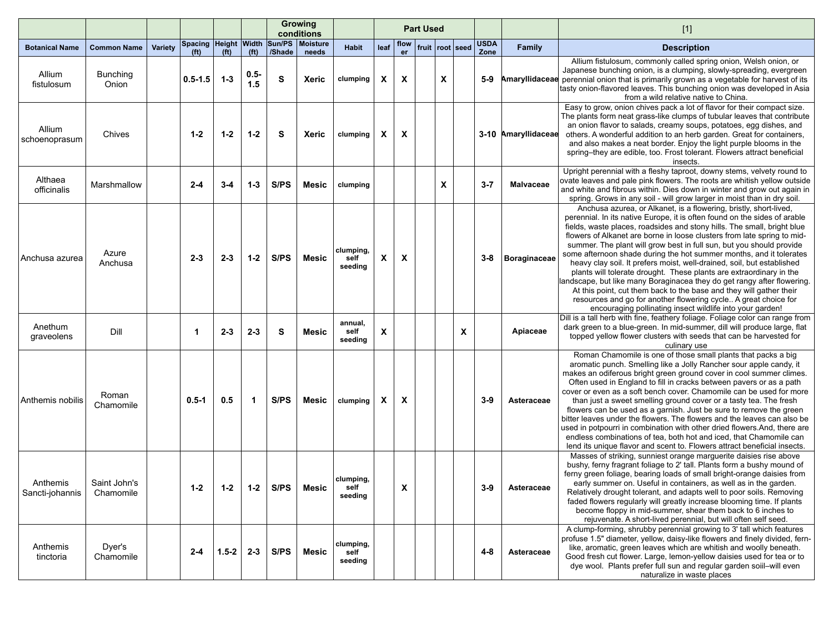|                             |                           |         |                                           |                   |                      |        | Growing<br>conditions    |                              |                           |                           | <b>Part Used</b> |   |            |                     |                     | $[1]$                                                                                                                                                                                                                                                                                                                                                                                                                                                                                                                                                                                                                                                                                                                                                                                                                                                                                  |
|-----------------------------|---------------------------|---------|-------------------------------------------|-------------------|----------------------|--------|--------------------------|------------------------------|---------------------------|---------------------------|------------------|---|------------|---------------------|---------------------|----------------------------------------------------------------------------------------------------------------------------------------------------------------------------------------------------------------------------------------------------------------------------------------------------------------------------------------------------------------------------------------------------------------------------------------------------------------------------------------------------------------------------------------------------------------------------------------------------------------------------------------------------------------------------------------------------------------------------------------------------------------------------------------------------------------------------------------------------------------------------------------|
| <b>Botanical Name</b>       | <b>Common Name</b>        | Variety | Spacing Height Width<br>(f <sup>t</sup> ) | (f <sup>t</sup> ) | (f <sup>t</sup> )    | /Shade | Sun/PS Moisture<br>needs | <b>Habit</b>                 | leaf                      | flow<br>er                | fruit            |   | root  seed | <b>USDA</b><br>Zone | Family              | <b>Description</b>                                                                                                                                                                                                                                                                                                                                                                                                                                                                                                                                                                                                                                                                                                                                                                                                                                                                     |
| Allium<br>fistulosum        | <b>Bunching</b><br>Onion  |         | $0.5 - 1.5$                               | $1 - 3$           | $0.5 -$<br>1.5       | S      | <b>Xeric</b>             | clumping                     | $\boldsymbol{\mathsf{x}}$ | X                         |                  | X |            | 5-9                 |                     | Allium fistulosum, commonly called spring onion, Welsh onion, or<br>Japanese bunching onion, is a clumping, slowly-spreading, evergreen<br>Amaryllidaceae perennial onion that is primarily grown as a vegetable for harvest of its<br>tasty onion-flavored leaves. This bunching onion was developed in Asia<br>from a wild relative native to China.                                                                                                                                                                                                                                                                                                                                                                                                                                                                                                                                 |
| Allium<br>schoenoprasum     | Chives                    |         | $1 - 2$                                   | $1 - 2$           | $1 - 2$              | S      | <b>Xeric</b>             | clumping                     | X                         | X                         |                  |   |            |                     | 3-10 Amaryllidaceae | Easy to grow, onion chives pack a lot of flavor for their compact size.<br>The plants form neat grass-like clumps of tubular leaves that contribute<br>an onion flavor to salads, creamy soups, potatoes, egg dishes, and<br>others. A wonderful addition to an herb garden. Great for containers,<br>and also makes a neat border. Enjoy the light purple blooms in the<br>spring-they are edible, too. Frost tolerant. Flowers attract beneficial<br>insects.                                                                                                                                                                                                                                                                                                                                                                                                                        |
| Althaea<br>officinalis      | Marshmallow               |         | $2 - 4$                                   | $3 - 4$           | $1 - 3$              | S/PS   | Mesic                    | clumping                     |                           |                           |                  | X |            | $3 - 7$             | <b>Malvaceae</b>    | Upright perennial with a fleshy taproot, downy stems, velvety round to<br>ovate leaves and pale pink flowers. The roots are whitish yellow outside<br>and white and fibrous within. Dies down in winter and grow out again in<br>spring. Grows in any soil - will grow larger in moist than in dry soil.                                                                                                                                                                                                                                                                                                                                                                                                                                                                                                                                                                               |
| Anchusa azurea              | Azure<br>Anchusa          |         | $2 - 3$                                   | $2 - 3$           | $1-2$                | S/PS   | <b>Mesic</b>             | clumping,<br>self<br>seeding | X                         | $\boldsymbol{\mathsf{x}}$ |                  |   |            | $3 - 8$             | <b>Boraginaceae</b> | Anchusa azurea, or Alkanet, is a flowering, bristly, short-lived,<br>perennial. In its native Europe, it is often found on the sides of arable<br>fields, waste places, roadsides and stony hills. The small, bright blue<br>flowers of Alkanet are borne in loose clusters from late spring to mid-<br>summer. The plant will grow best in full sun, but you should provide<br>some afternoon shade during the hot summer months, and it tolerates<br>heavy clay soil. It prefers moist, well-drained, soil, but established<br>plants will tolerate drought. These plants are extraordinary in the<br>landscape, but like many Boraginacea they do get rangy after flowering.<br>At this point, cut them back to the base and they will gather their<br>resources and go for another flowering cycle A great choice for<br>encouraging pollinating insect wildlife into your garden! |
| Anethum<br>graveolens       | Dill                      |         | $\mathbf 1$                               | $2 - 3$           | $2 - 3$              | S      | <b>Mesic</b>             | annual,<br>self<br>seeding   | X                         |                           |                  |   | X          |                     | Apiaceae            | Dill is a tall herb with fine, feathery foliage. Foliage color can range from<br>dark green to a blue-green. In mid-summer, dill will produce large, flat<br>topped yellow flower clusters with seeds that can be harvested for<br>culinary use                                                                                                                                                                                                                                                                                                                                                                                                                                                                                                                                                                                                                                        |
| Anthemis nobilis            | Roman<br>Chamomile        |         | $0.5 - 1$                                 | 0.5               | $\blacktriangleleft$ | S/PS   | Mesic                    | clumping                     | $\boldsymbol{\mathsf{x}}$ | X                         |                  |   |            | $3-9$               | Asteraceae          | Roman Chamomile is one of those small plants that packs a big<br>aromatic punch. Smelling like a Jolly Rancher sour apple candy, it<br>makes an odiferous bright green ground cover in cool summer climes.<br>Often used in England to fill in cracks between pavers or as a path<br>cover or even as a soft bench cover. Chamomile can be used for more<br>than just a sweet smelling ground cover or a tasty tea. The fresh<br>flowers can be used as a garnish. Just be sure to remove the green<br>bitter leaves under the flowers. The flowers and the leaves can also be<br>used in potpourri in combination with other dried flowers. And, there are<br>endless combinations of tea, both hot and iced, that Chamomile can<br>lend its unique flavor and scent to. Flowers attract beneficial insects.                                                                          |
| Anthemis<br>Sancti-johannis | Saint John's<br>Chamomile |         | $1 - 2$                                   | $1-2$             | $1-2$                | S/PS   | Mesic                    | clumping,<br>self<br>seeding |                           | $\boldsymbol{\mathsf{x}}$ |                  |   |            | $3-9$               | Asteraceae          | Masses of striking, sunniest orange marguerite daisies rise above<br>bushy, ferny fragrant foliage to 2' tall. Plants form a bushy mound of<br>ferny green foliage, bearing loads of small bright-orange daisies from<br>early summer on. Useful in containers, as well as in the garden.<br>Relatively drought tolerant, and adapts well to poor soils. Removing<br>faded flowers regularly will greatly increase blooming time. If plants<br>become floppy in mid-summer, shear them back to 6 inches to<br>rejuvenate. A short-lived perennial, but will often self seed.                                                                                                                                                                                                                                                                                                           |
| Anthemis<br>tinctoria       | Dyer's<br>Chamomile       |         | $2 - 4$                                   | $1.5 - 2$         | $2 - 3$              | S/PS   | Mesic                    | clumping,<br>self<br>seeding |                           |                           |                  |   |            | $4 - 8$             | Asteraceae          | A clump-forming, shrubby perennial growing to 3' tall which features<br>profuse 1.5" diameter, yellow, daisy-like flowers and finely divided, fern-<br>like, aromatic, green leaves which are whitish and woolly beneath.<br>Good fresh cut flower. Large, lemon-yellow daisies used for tea or to<br>dye wool. Plants prefer full sun and regular garden soiil-will even<br>naturalize in waste places                                                                                                                                                                                                                                                                                                                                                                                                                                                                                |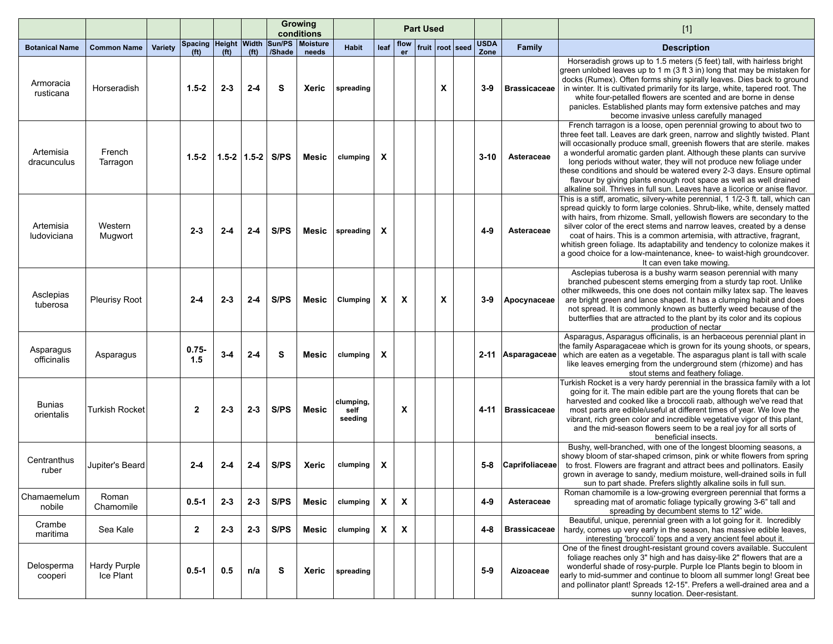|                             |                           |         |                   |                   |                   |                      | Growing<br>conditions                         |                              |                           |              | <b>Part Used</b> |   |                   |                     |                     | $[1]$                                                                                                                                                                                                                                                                                                                                                                                                                                                                                                                                                                                                      |
|-----------------------------|---------------------------|---------|-------------------|-------------------|-------------------|----------------------|-----------------------------------------------|------------------------------|---------------------------|--------------|------------------|---|-------------------|---------------------|---------------------|------------------------------------------------------------------------------------------------------------------------------------------------------------------------------------------------------------------------------------------------------------------------------------------------------------------------------------------------------------------------------------------------------------------------------------------------------------------------------------------------------------------------------------------------------------------------------------------------------------|
| <b>Botanical Name</b>       | <b>Common Name</b>        | Variety | (f <sup>t</sup> ) | (f <sup>t</sup> ) | (f <sup>t</sup> ) | /Shade               | Spacing Height Width Sun/PS Moisture<br>needs | <b>Habit</b>                 | leaf                      | flow<br>er   |                  |   | fruit ∣root ∣seed | <b>USDA</b><br>Zone | Family              | <b>Description</b>                                                                                                                                                                                                                                                                                                                                                                                                                                                                                                                                                                                         |
| Armoracia<br>rusticana      | Horseradish               |         | $1.5 - 2$         | $2 - 3$           | $2 - 4$           | S                    | Xeric                                         | spreading                    |                           |              |                  | X |                   | $3-9$               | <b>Brassicaceae</b> | Horseradish grows up to 1.5 meters (5 feet) tall, with hairless bright<br>green unlobed leaves up to 1 m (3 ft 3 in) long that may be mistaken for<br>docks (Rumex). Often forms shiny spirally leaves. Dies back to ground<br>in winter. It is cultivated primarily for its large, white, tapered root. The<br>white four-petalled flowers are scented and are borne in dense<br>panicles. Established plants may form extensive patches and may<br>become invasive unless carefully managed                                                                                                              |
| Artemisia<br>dracunculus    | French<br>Tarragon        |         | $1.5 - 2$         |                   |                   | 1.5-2   1.5-2   S/PS | Mesic                                         | clumping                     | X                         |              |                  |   |                   | $3 - 10$            | Asteraceae          | French tarragon is a loose, open perennial growing to about two to<br>three feet tall. Leaves are dark green, narrow and slightly twisted. Plant<br>will occasionally produce small, greenish flowers that are sterile. makes<br>a wonderful aromatic garden plant. Although these plants can survive<br>long periods without water, they will not produce new foliage under<br>these conditions and should be watered every 2-3 days. Ensure optimal<br>flavour by giving plants enough root space as well as well drained<br>alkaline soil. Thrives in full sun. Leaves have a licorice or anise flavor. |
| Artemisia<br>ludoviciana    | Western<br>Mugwort        |         | $2 - 3$           | $2 - 4$           | $2 - 4$           | S/PS                 | Mesic                                         | spreading                    | $\boldsymbol{\mathsf{x}}$ |              |                  |   |                   | $4-9$               | Asteraceae          | This is a stiff, aromatic, silvery-white perennial, 1 1/2-3 ft. tall, which can<br>spread quickly to form large colonies. Shrub-like, white, densely matted<br>with hairs, from rhizome. Small, yellowish flowers are secondary to the<br>silver color of the erect stems and narrow leaves, created by a dense<br>coat of hairs. This is a common artemisia, with attractive, fragrant,<br>whitish green foliage. Its adaptability and tendency to colonize makes it<br>a good choice for a low-maintenance, knee- to waist-high groundcover.<br>It can even take mowing.                                 |
| Asclepias<br>tuberosa       | <b>Pleurisy Root</b>      |         | $2 - 4$           | $2 - 3$           | $2 - 4$           | S/PS                 | Mesic                                         | Clumping                     | $\mathbf{x}$              | X            |                  | X |                   | $3-9$               | Apocynaceae         | Asclepias tuberosa is a bushy warm season perennial with many<br>branched pubescent stems emerging from a sturdy tap root. Unlike<br>other milkweeds, this one does not contain milky latex sap. The leaves<br>are bright green and lance shaped. It has a clumping habit and does<br>not spread. It is commonly known as butterfly weed because of the<br>butterflies that are attracted to the plant by its color and its copious<br>production of nectar                                                                                                                                                |
| Asparagus<br>officinalis    | Asparagus                 |         | $0.75 -$<br>1.5   | $3 - 4$           | $2 - 4$           | S                    | Mesic                                         | clumping                     | $\boldsymbol{\mathsf{x}}$ |              |                  |   |                   |                     | 2-11 Asparagaceae   | Asparagus, Asparagus officinalis, is an herbaceous perennial plant in<br>the family Asparagaceae which is grown for its young shoots, or spears,<br>which are eaten as a vegetable. The asparagus plant is tall with scale<br>like leaves emerging from the underground stem (rhizome) and has<br>stout stems and feathery foliage.                                                                                                                                                                                                                                                                        |
| <b>Bunias</b><br>orientalis | <b>Turkish Rocket</b>     |         | $\mathbf{2}$      | $2 - 3$           | $2 - 3$           | S/PS                 | <b>Mesic</b>                                  | clumping,<br>self<br>seeding |                           | X            |                  |   |                   | 4-11                | <b>Brassicaceae</b> | Turkish Rocket is a very hardy perennial in the brassica family with a lot<br>going for it. The main edible part are the young florets that can be<br>harvested and cooked like a broccoli raab, although we've read that<br>most parts are edible/useful at different times of year. We love the<br>vibrant, rich green color and incredible vegetative vigor of this plant,<br>and the mid-season flowers seem to be a real joy for all sorts of<br>beneficial insects.                                                                                                                                  |
| Centranthus<br>ruber        | Jupiter's Beard           |         | $2 - 4$           | $2 - 4$           | $2 - 4$           | S/PS                 | Xeric                                         | clumping                     | $\boldsymbol{\mathsf{x}}$ |              |                  |   |                   | $5-8$               | Caprifoliaceae      | Bushy, well-branched, with one of the longest blooming seasons, a<br>showy bloom of star-shaped crimson, pink or white flowers from spring<br>to frost. Flowers are fragrant and attract bees and pollinators. Easily<br>grown in average to sandy, medium moisture, well-drained soils in full<br>sun to part shade. Prefers slightly alkaline soils in full sun.                                                                                                                                                                                                                                         |
| Chamaemelum<br>nobile       | Roman<br>Chamomile        |         | $0.5 - 1$         | $2 - 3$           | $2 - 3$           | S/PS                 | Mesic                                         | clumping                     | $\mathbf{x}$              | X            |                  |   |                   | 4-9                 | Asteraceae          | Roman chamomile is a low-growing evergreen perennial that forms a<br>spreading mat of aromatic foliage typically growing 3-6" tall and<br>spreading by decumbent stems to 12" wide.                                                                                                                                                                                                                                                                                                                                                                                                                        |
| Crambe<br>maritima          | Sea Kale                  |         | $\overline{2}$    | $2 - 3$           | $2 - 3$           | S/PS                 | Mesic                                         | clumping                     | $\mathbf{x}$              | $\mathbf{x}$ |                  |   |                   | 4-8                 | <b>Brassicaceae</b> | Beautiful, unique, perennial green with a lot going for it. Incredibly<br>hardy, comes up very early in the season, has massive edible leaves,<br>interesting 'broccoli' tops and a very ancient feel about it.                                                                                                                                                                                                                                                                                                                                                                                            |
| Delosperma<br>cooperi       | Hardy Purple<br>Ice Plant |         | $0.5 - 1$         | 0.5               | n/a               | S                    | Xeric                                         | spreading                    |                           |              |                  |   |                   | $5-9$               | Aizoaceae           | One of the finest drought-resistant ground covers available. Succulent<br>foliage reaches only 3" high and has daisy-like 2" flowers that are a<br>wonderful shade of rosy-purple. Purple Ice Plants begin to bloom in<br>early to mid-summer and continue to bloom all summer long! Great bee<br>and pollinator plant! Spreads 12-15". Prefers a well-drained area and a<br>sunny location. Deer-resistant.                                                                                                                                                                                               |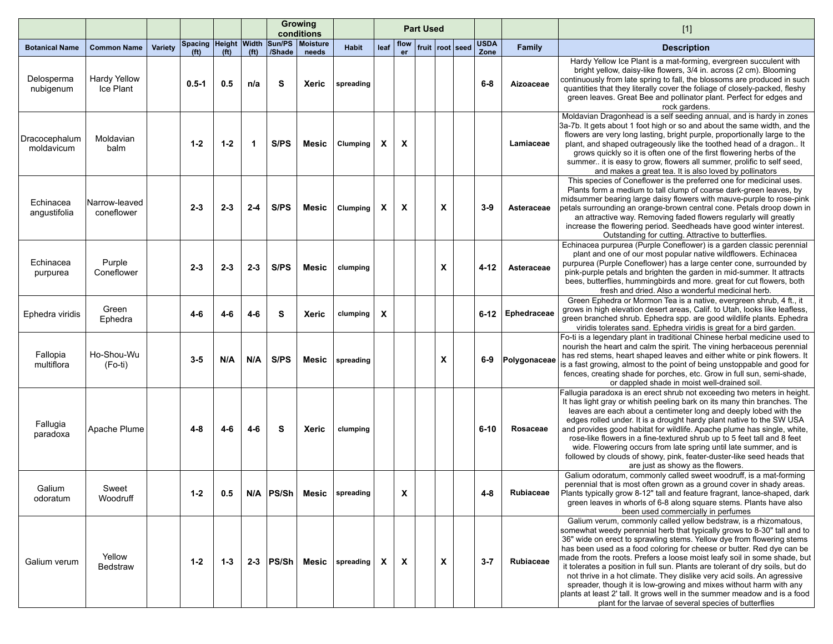|                             |                                  |         |                                           |                   |                   |             | <b>Growing</b><br>conditions |                                  |                           |            | <b>Part Used</b> |   |                   |                     |                  | $[1]$                                                                                                                                                                                                                                                                                                                                                                                                                                                                                                                                                                                                                                                                                                                                              |
|-----------------------------|----------------------------------|---------|-------------------------------------------|-------------------|-------------------|-------------|------------------------------|----------------------------------|---------------------------|------------|------------------|---|-------------------|---------------------|------------------|----------------------------------------------------------------------------------------------------------------------------------------------------------------------------------------------------------------------------------------------------------------------------------------------------------------------------------------------------------------------------------------------------------------------------------------------------------------------------------------------------------------------------------------------------------------------------------------------------------------------------------------------------------------------------------------------------------------------------------------------------|
| <b>Botanical Name</b>       | <b>Common Name</b>               | Variety | Spacing Height Width<br>(f <sup>t</sup> ) | (f <sup>t</sup> ) | (f <sup>t</sup> ) | /Shade      | Sun/PS   Moisture<br>needs   | <b>Habit</b>                     | leaf                      | flow<br>er |                  |   | fruit  root  seed | <b>USDA</b><br>Zone | Family           | <b>Description</b>                                                                                                                                                                                                                                                                                                                                                                                                                                                                                                                                                                                                                                                                                                                                 |
| Delosperma<br>nubigenum     | <b>Hardy Yellow</b><br>Ice Plant |         | $0.5 - 1$                                 | 0.5               | n/a               | S           | Xeric                        | spreading                        |                           |            |                  |   |                   | $6-8$               | Aizoaceae        | Hardy Yellow Ice Plant is a mat-forming, evergreen succulent with<br>bright yellow, daisy-like flowers, 3/4 in. across (2 cm). Blooming<br>continuously from late spring to fall, the blossoms are produced in such<br>quantities that they literally cover the foliage of closely-packed, fleshy<br>green leaves. Great Bee and pollinator plant. Perfect for edges and<br>rock gardens.                                                                                                                                                                                                                                                                                                                                                          |
| Dracocephalum<br>moldavicum | Moldavian<br>balm                |         | $1 - 2$                                   | $1 - 2$           | $\mathbf 1$       | S/PS        | Mesic                        | Clumping                         | X                         | X          |                  |   |                   |                     | Lamiaceae        | Moldavian Dragonhead is a self seeding annual, and is hardy in zones<br>3a-7b. It gets about 1 foot high or so and about the same width, and the<br>flowers are very long lasting, bright purple, proportionally large to the<br>plant, and shaped outrageously like the toothed head of a dragon It<br>grows quickly so it is often one of the first flowering herbs of the<br>summer it is easy to grow, flowers all summer, prolific to self seed,<br>and makes a great tea. It is also loved by pollinators                                                                                                                                                                                                                                    |
| Echinacea<br>angustifolia   | Narrow-leaved<br>coneflower      |         | $2 - 3$                                   | $2 - 3$           | $2 - 4$           | S/PS        | Mesic                        | Clumping                         | X                         | X          |                  | X |                   | $3-9$               | Asteraceae       | This species of Coneflower is the preferred one for medicinal uses.<br>Plants form a medium to tall clump of coarse dark-green leaves, by<br>midsummer bearing large daisy flowers with mauve-purple to rose-pink<br>petals surrounding an orange-brown central cone. Petals droop down in<br>an attractive way. Removing faded flowers regularly will greatly<br>increase the flowering period. Seedheads have good winter interest.<br>Outstanding for cutting. Attractive to butterflies.                                                                                                                                                                                                                                                       |
| Echinacea<br>purpurea       | Purple<br>Coneflower             |         | $2 - 3$                                   | $2 - 3$           | $2 - 3$           | S/PS        | Mesic                        | clumping                         |                           |            |                  | X |                   | $4 - 12$            | Asteraceae       | Echinacea purpurea (Purple Coneflower) is a garden classic perennial<br>plant and one of our most popular native wildflowers. Echinacea<br>purpurea (Purple Coneflower) has a large center cone, surrounded by<br>pink-purple petals and brighten the garden in mid-summer. It attracts<br>bees, butterflies, hummingbirds and more. great for cut flowers, both<br>fresh and dried. Also a wonderful medicinal herb.                                                                                                                                                                                                                                                                                                                              |
| Ephedra viridis             | Green<br>Ephedra                 |         | $4-6$                                     | 4-6               | $4-6$             | S           | <b>Xeric</b>                 | clumping                         | $\boldsymbol{\mathsf{x}}$ |            |                  |   |                   |                     | 6-12 Ephedraceae | Green Ephedra or Mormon Tea is a native, evergreen shrub, 4 ft., it<br>grows in high elevation desert areas, Calif. to Utah, looks like leafless,<br>green branched shrub. Ephedra spp. are good wildlife plants. Ephedra<br>viridis tolerates sand. Ephedra viridis is great for a bird garden.                                                                                                                                                                                                                                                                                                                                                                                                                                                   |
| Fallopia<br>multiflora      | Ho-Shou-Wu<br>$(Fo-ti)$          |         | $3 - 5$                                   | N/A               | N/A               | S/PS        | Mesic                        | spreading                        |                           |            |                  | X |                   | $6-9$               | Polygonaceae     | Fo-ti is a legendary plant in traditional Chinese herbal medicine used to<br>nourish the heart and calm the spirit. The vining herbaceous perennial<br>has red stems, heart shaped leaves and either white or pink flowers. It<br>is a fast growing, almost to the point of being unstoppable and good for<br>fences, creating shade for porches, etc. Grow in full sun, semi-shade,<br>or dappled shade in moist well-drained soil                                                                                                                                                                                                                                                                                                                |
| Fallugia<br>paradoxa        | Apache Plume                     |         | $4 - 8$                                   | 4-6               | $4-6$             | S           | Xeric                        | clumping                         |                           |            |                  |   |                   | $6 - 10$            | Rosaceae         | Fallugia paradoxa is an erect shrub not exceeding two meters in height.<br>It has light gray or whitish peeling bark on its many thin branches. The<br>leaves are each about a centimeter long and deeply lobed with the<br>edges rolled under. It is a drought hardy plant native to the SW USA<br>and provides good habitat for wildlife. Apache plume has single, white,<br>rose-like flowers in a fine-textured shrub up to 5 feet tall and 8 feet<br>wide. Flowering occurs from late spring until late summer, and is<br>followed by clouds of showy, pink, feater-duster-like seed heads that<br>are just as showy as the flowers.                                                                                                          |
| Galium<br>odoratum          | Sweet<br>Woodruff                |         | $1 - 2$                                   | 0.5               |                   |             |                              | $N/A$  PS/Sh   Mesic   spreading |                           | X          |                  |   |                   | 4-8                 | Rubiaceae        | Galium odoratum, commonly called sweet woodruff, is a mat-forming<br>perennial that is most often grown as a ground cover in shady areas.<br>Plants typically grow 8-12" tall and feature fragrant, lance-shaped, dark<br>green leaves in whorls of 6-8 along square stems. Plants have also<br>been used commercially in perfumes                                                                                                                                                                                                                                                                                                                                                                                                                 |
| Galium verum                | Yellow<br>Bedstraw               |         | $1 - 2$                                   | $1 - 3$           |                   | $2-3$ PS/Sh | <b>Mesic</b>                 | spreading                        | X                         | X          |                  | X |                   | $3 - 7$             | Rubiaceae        | Galium verum, commonly called yellow bedstraw, is a rhizomatous,<br>somewhat weedy perennial herb that typically grows to 8-30" tall and to<br>36" wide on erect to sprawling stems. Yellow dye from flowering stems<br>has been used as a food coloring for cheese or butter. Red dye can be<br>made from the roots. Prefers a loose moist leafy soil in some shade, but<br>it tolerates a position in full sun. Plants are tolerant of dry soils, but do<br>not thrive in a hot climate. They dislike very acid soils. An agressive<br>spreader, though it is low-growing and mixes without harm with any<br>plants at least 2' tall. It grows well in the summer meadow and is a food<br>plant for the larvae of several species of butterflies |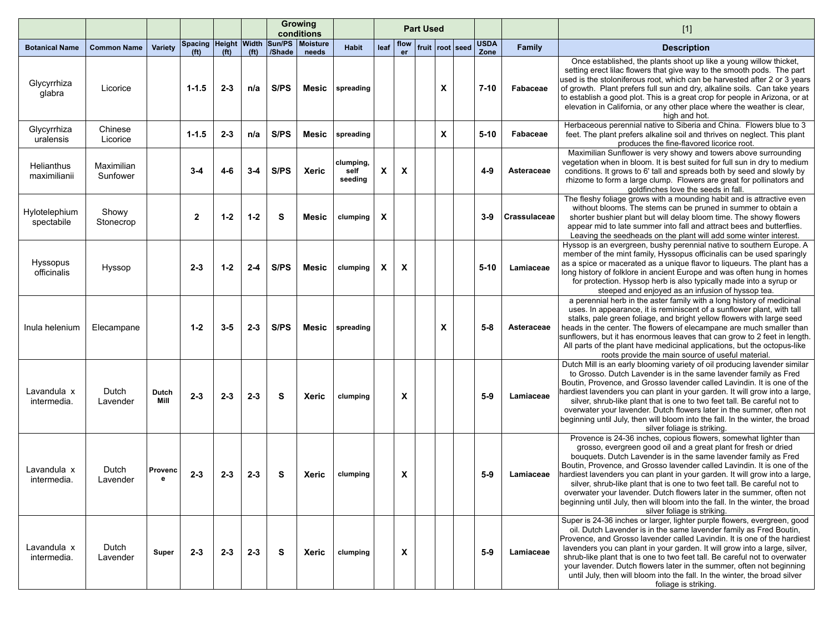|                             |                        |               |                                           |                   |                   |          | Growing<br>conditions      |                              | <b>Part Used</b><br><b>USDA</b><br>flow<br>leaf<br>fruit   root   seed<br>Zone<br>er |   |  |   |  |          |              | $[1]$                                                                                                                                                                                                                                                                                                                                                                                                                                                                                                                                                                                                                                 |
|-----------------------------|------------------------|---------------|-------------------------------------------|-------------------|-------------------|----------|----------------------------|------------------------------|--------------------------------------------------------------------------------------|---|--|---|--|----------|--------------|---------------------------------------------------------------------------------------------------------------------------------------------------------------------------------------------------------------------------------------------------------------------------------------------------------------------------------------------------------------------------------------------------------------------------------------------------------------------------------------------------------------------------------------------------------------------------------------------------------------------------------------|
| <b>Botanical Name</b>       | <b>Common Name</b>     | Variety       | Spacing Height Width<br>(f <sup>t</sup> ) | (f <sup>t</sup> ) | (f <sup>t</sup> ) | /Shade   | Sun/PS   Moisture<br>needs | <b>Habit</b>                 |                                                                                      |   |  |   |  |          | Family       | <b>Description</b>                                                                                                                                                                                                                                                                                                                                                                                                                                                                                                                                                                                                                    |
| Glycyrrhiza<br>glabra       | Licorice               |               | $1 - 1.5$                                 | $2 - 3$           | n/a               | S/PS     | Mesic                      | spreading                    |                                                                                      |   |  | X |  | $7 - 10$ | Fabaceae     | Once established, the plants shoot up like a young willow thicket,<br>setting erect lilac flowers that give way to the smooth pods. The part<br>used is the stoloniferous root, which can be harvested after 2 or 3 years<br>of growth. Plant prefers full sun and dry, alkaline soils. Can take years<br>to establish a good plot. This is a great crop for people in Arizona, or at<br>elevation in California, or any other place where the weather is clear,<br>high and hot.                                                                                                                                                     |
| Glycyrrhiza<br>uralensis    | Chinese<br>Licorice    |               | $1 - 1.5$                                 | $2 - 3$           | n/a               | S/PS     | Mesic                      | spreading                    |                                                                                      |   |  | X |  | $5-10$   | Fabaceae     | Herbaceous perennial native to Siberia and China. Flowers blue to 3<br>feet. The plant prefers alkaline soil and thrives on neglect. This plant<br>produces the fine-flavored licorice root.                                                                                                                                                                                                                                                                                                                                                                                                                                          |
| Helianthus<br>maximilianii  | Maximilian<br>Sunfower |               | $3 - 4$                                   | 4-6               | $3 - 4$           | S/PS     | Xeric                      | clumping,<br>self<br>seeding | $\boldsymbol{\mathsf{x}}$                                                            | X |  |   |  | $4-9$    | Asteraceae   | Maximilian Sunflower is very showy and towers above surrounding<br>vegetation when in bloom. It is best suited for full sun in dry to medium<br>conditions. It grows to 6' tall and spreads both by seed and slowly by<br>rhizome to form a large clump. Flowers are great for pollinators and<br>goldfinches love the seeds in fall.                                                                                                                                                                                                                                                                                                 |
| Hylotelephium<br>spectabile | Showy<br>Stonecrop     |               | $\overline{2}$                            | $1-2$             | $1-2$             | S        | Mesic                      | clumping                     | X                                                                                    |   |  |   |  | $3-9$    | Crassulaceae | The fleshy foliage grows with a mounding habit and is attractive even<br>without blooms. The stems can be pruned in summer to obtain a<br>shorter bushier plant but will delay bloom time. The showy flowers<br>appear mid to late summer into fall and attract bees and butterflies.<br>Leaving the seedheads on the plant will add some winter interest.                                                                                                                                                                                                                                                                            |
| Hyssopus<br>officinalis     | Hyssop                 |               | $2 - 3$                                   | $1 - 2$           | $2 - 4$           | S/PS     | Mesic                      | clumping                     | X                                                                                    | X |  |   |  | $5 - 10$ | Lamiaceae    | Hyssop is an evergreen, bushy perennial native to southern Europe. A<br>member of the mint family, Hyssopus officinalis can be used sparingly<br>as a spice or macerated as a unique flavor to liqueurs. The plant has a<br>long history of folklore in ancient Europe and was often hung in homes<br>for protection. Hyssop herb is also typically made into a syrup or<br>steeped and enjoyed as an infusion of hyssop tea.                                                                                                                                                                                                         |
| Inula helenium              | Elecampane             |               | $1 - 2$                                   | $3 - 5$           | $2 - 3$           | S/PS     | Mesic                      | spreading                    |                                                                                      |   |  | X |  | $5-8$    | Asteraceae   | a perennial herb in the aster family with a long history of medicinal<br>uses. In appearance, it is reminiscent of a sunflower plant, with tall<br>stalks, pale green foliage, and bright yellow flowers with large seed<br>heads in the center. The flowers of elecampane are much smaller than<br>sunflowers, but it has enormous leaves that can grow to 2 feet in length.<br>All parts of the plant have medicinal applications, but the octopus-like<br>roots provide the main source of useful material.                                                                                                                        |
| Lavandula x<br>intermedia.  | Dutch<br>Lavender      | Dutch<br>Mill | $2 - 3$                                   | $2 - 3$           | $2 - 3$           | -S       | Xeric                      | clumping                     |                                                                                      | X |  |   |  | $5-9$    | Lamiaceae    | Dutch Mill is an early blooming variety of oil producing lavender similar<br>to Grosso. Dutch Lavender is in the same lavender family as Fred<br>Boutin, Provence, and Grosso lavender called Lavindin. It is one of the<br>hardiest lavenders you can plant in your garden. It will grow into a large,<br>silver, shrub-like plant that is one to two feet tall. Be careful not to<br>overwater your lavender. Dutch flowers later in the summer, often not<br>beginning until July, then will bloom into the fall. In the winter, the broad<br>silver foliage is striking.                                                          |
| Lavandula x<br>intermedia.  | Dutch<br>Lavender      | Provenc<br>е  | $2 - 3$                                   | $2 - 3$           | $2 - 3$           | S        | Xeric                      | clumping                     |                                                                                      | X |  |   |  | $5-9$    | Lamiaceae    | Provence is 24-36 inches, copious flowers, somewhat lighter than<br>grosso, evergreen good oil and a great plant for fresh or dried<br>bouquets. Dutch Lavender is in the same lavender family as Fred<br>Boutin, Provence, and Grosso lavender called Lavindin. It is one of the<br>hardiest lavenders you can plant in your garden. It will grow into a large,<br>silver, shrub-like plant that is one to two feet tall. Be careful not to<br>overwater your lavender. Dutch flowers later in the summer, often not<br>beginning until July, then will bloom into the fall. In the winter, the broad<br>silver foliage is striking. |
| Lavandula x<br>intermedia.  | Dutch<br>Lavender      | Super         | $2 - 3$                                   | $2 - 3$           | $2 - 3$           | <b>S</b> | Xeric                      | clumping                     |                                                                                      | X |  |   |  | $5-9$    | Lamiaceae    | Super is 24-36 inches or larger, lighter purple flowers, evergreen, good<br>oil. Dutch Lavender is in the same lavender family as Fred Boutin,<br>Provence, and Grosso lavender called Lavindin. It is one of the hardiest<br>lavenders you can plant in your garden. It will grow into a large, silver,<br>shrub-like plant that is one to two feet tall. Be careful not to overwater<br>your lavender. Dutch flowers later in the summer, often not beginning<br>until July, then will bloom into the fall. In the winter, the broad silver<br>foliage is striking.                                                                 |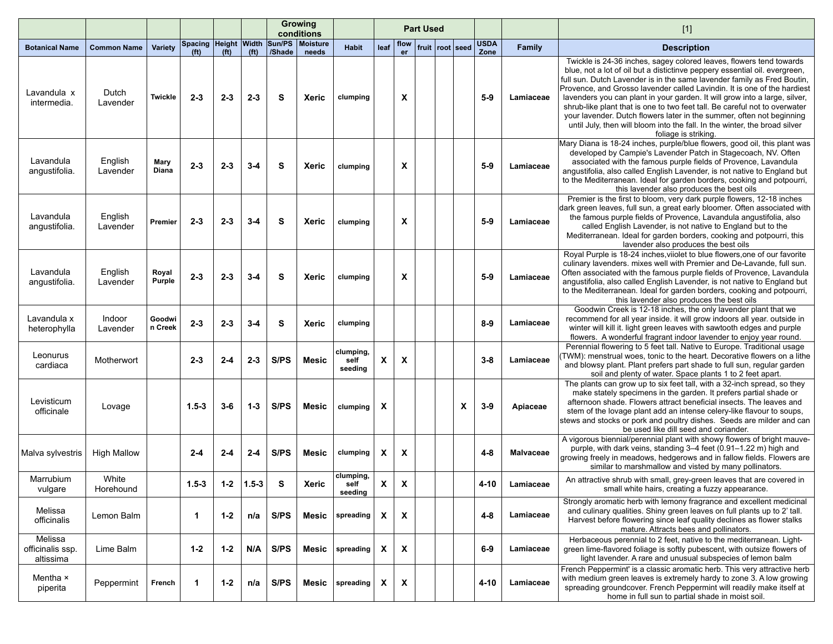|                                          |                     |                   |                                           |                   |                   |        | <b>Growing</b><br>conditions |                              |                           |            | <b>Part Used</b> |            |                     |                  | $[1]$                                                                                                                                                                                                                                                                                                                                                                                                                                                                                                                                                                                                                                               |
|------------------------------------------|---------------------|-------------------|-------------------------------------------|-------------------|-------------------|--------|------------------------------|------------------------------|---------------------------|------------|------------------|------------|---------------------|------------------|-----------------------------------------------------------------------------------------------------------------------------------------------------------------------------------------------------------------------------------------------------------------------------------------------------------------------------------------------------------------------------------------------------------------------------------------------------------------------------------------------------------------------------------------------------------------------------------------------------------------------------------------------------|
| <b>Botanical Name</b>                    | <b>Common Name</b>  | Variety           | Spacing Height Width<br>(f <sup>t</sup> ) | (f <sup>t</sup> ) | (f <sup>t</sup> ) | /Shade | Sun/PS   Moisture<br>needs   | <b>Habit</b>                 | leaf                      | flow<br>er | fruit            | root  seed | <b>USDA</b><br>Zone | Family           | <b>Description</b>                                                                                                                                                                                                                                                                                                                                                                                                                                                                                                                                                                                                                                  |
| Lavandula x<br>intermedia.               | Dutch<br>Lavender   | <b>Twickle</b>    | $2 - 3$                                   | $2 - 3$           | $2 - 3$           | S      | <b>Xeric</b>                 | clumping                     |                           | X          |                  |            | $5-9$               | Lamiaceae        | Twickle is 24-36 inches, sagey colored leaves, flowers tend towards<br>blue, not a lot of oil but a distictinve peppery essential oil. evergreen,<br>full sun. Dutch Lavender is in the same lavender family as Fred Boutin,<br>Provence, and Grosso lavender called Lavindin. It is one of the hardiest<br>lavenders you can plant in your garden. It will grow into a large, silver,<br>shrub-like plant that is one to two feet tall. Be careful not to overwater<br>your lavender. Dutch flowers later in the summer, often not beginning<br>until July, then will bloom into the fall. In the winter, the broad silver<br>foliage is striking. |
| Lavandula<br>angustifolia.               | English<br>Lavender | Mary<br>Diana     | $2 - 3$                                   | $2 - 3$           | $3 - 4$           | s      | <b>Xeric</b>                 | clumping                     |                           | X          |                  |            | $5-9$               | Lamiaceae        | Mary Diana is 18-24 inches, purple/blue flowers, good oil, this plant was<br>developed by Campie's Lavender Patch in Stagecoach, NV. Often<br>associated with the famous purple fields of Provence, Lavandula<br>angustifolia, also called English Lavender, is not native to England but<br>to the Mediterranean. Ideal for garden borders, cooking and potpourri,<br>this lavender also produces the best oils                                                                                                                                                                                                                                    |
| Lavandula<br>angustifolia.               | English<br>Lavender | Premier           | $2 - 3$                                   | $2 - 3$           | $3 - 4$           | s      | <b>Xeric</b>                 | clumping                     |                           | X          |                  |            | $5-9$               | Lamiaceae        | Premier is the first to bloom, very dark purple flowers, 12-18 inches<br>dark green leaves, full sun, a great early bloomer. Often associated with<br>the famous purple fields of Provence, Lavandula angustifolia, also<br>called English Lavender, is not native to England but to the<br>Mediterranean. Ideal for garden borders, cooking and potpourri, this<br>lavender also produces the best oils                                                                                                                                                                                                                                            |
| Lavandula<br>angustifolia.               | English<br>Lavender | Royal<br>Purple   | $2 - 3$                                   | $2 - 3$           | $3 - 4$           | S      | <b>Xeric</b>                 | clumping                     |                           | X          |                  |            | $5-9$               | Lamiaceae        | Royal Purple is 18-24 inches, viiolet to blue flowers, one of our favorite<br>culinary lavenders, mixes well with Premier and De-Lavande, full sun.<br>Often associated with the famous purple fields of Provence, Lavandula<br>angustifolia, also called English Lavender, is not native to England but<br>to the Mediterranean. Ideal for garden borders, cooking and potpourri,<br>this lavender also produces the best oils                                                                                                                                                                                                                     |
| Lavandula x<br>heterophylla              | Indoor<br>Lavender  | Goodwi<br>n Creek | $2 - 3$                                   | $2 - 3$           | $3 - 4$           | s      | <b>Xeric</b>                 | clumping                     |                           |            |                  |            | $8-9$               | Lamiaceae        | Goodwin Creek is 12-18 inches, the only lavender plant that we<br>recommend for all year inside. It will grow indoors all year, outside in<br>winter will kill it. light green leaves with sawtooth edges and purple<br>flowers. A wonderful fragrant indoor lavender to enjoy year round.                                                                                                                                                                                                                                                                                                                                                          |
| Leonurus<br>cardiaca                     | Motherwort          |                   | $2 - 3$                                   | $2 - 4$           | $2 - 3$           | S/PS   | <b>Mesic</b>                 | clumping,<br>self<br>seeding | X                         | X          |                  |            | $3 - 8$             | Lamiaceae        | Perennial flowering to 5 feet tall. Native to Europe. Traditional usage<br>TWM): menstrual woes, tonic to the heart. Decorative flowers on a lithe<br>and blowsy plant. Plant prefers part shade to full sun, regular garden<br>soil and plenty of water. Space plants 1 to 2 feet apart.                                                                                                                                                                                                                                                                                                                                                           |
| Levisticum<br>officinale                 | Lovage              |                   | $1.5 - 3$                                 | $3-6$             | $1 - 3$           | S/PS   | Mesic                        | clumping                     | X                         |            |                  | X          | $3-9$               | Apiaceae         | The plants can grow up to six feet tall, with a 32-inch spread, so they<br>make stately specimens in the garden. It prefers partial shade or<br>afternoon shade. Flowers attract beneficial insects. The leaves and<br>stem of the lovage plant add an intense celery-like flavour to soups,<br>stews and stocks or pork and poultry dishes. Seeds are milder and can<br>be used like dill seed and coriander.                                                                                                                                                                                                                                      |
| Malva sylvestris                         | <b>High Mallow</b>  |                   | $2 - 4$                                   | $2 - 4$           | $2 - 4$           | S/PS   | Mesic                        | clumping                     | X                         | X          |                  |            | $4 - 8$             | <b>Malvaceae</b> | A vigorous biennial/perennial plant with showy flowers of bright mauve-<br>purple, with dark veins, standing 3-4 feet (0.91-1.22 m) high and<br>growing freely in meadows, hedgerows and in fallow fields. Flowers are<br>similar to marshmallow and visted by many pollinators.                                                                                                                                                                                                                                                                                                                                                                    |
| Marrubium<br>vulgare                     | White<br>Horehound  |                   | $1.5 - 3$                                 | $1-2$             | $1.5 - 3$         | S      | Xeric                        | clumping,<br>self<br>seeding | $\pmb{\mathsf{X}}$        | X          |                  |            | 4-10                | Lamiaceae        | An attractive shrub with small, grey-green leaves that are covered in<br>small white hairs, creating a fuzzy appearance.                                                                                                                                                                                                                                                                                                                                                                                                                                                                                                                            |
| Melissa<br>officinalis                   | Lemon Balm          |                   | $\mathbf 1$                               | $1 - 2$           | n/a               | S/PS   | Mesic                        | spreading                    | $\mathbf{x}$              | X          |                  |            | $4 - 8$             | Lamiaceae        | Strongly aromatic herb with lemony fragrance and excellent medicinal<br>and culinary qualities. Shiny green leaves on full plants up to 2' tall.<br>Harvest before flowering since leaf quality declines as flower stalks<br>mature. Attracts bees and pollinators.                                                                                                                                                                                                                                                                                                                                                                                 |
| Melissa<br>officinalis ssp.<br>altissima | Lime Balm           |                   | $1 - 2$                                   | $1 - 2$           | N/A               | S/PS   | <b>Mesic</b>                 | spreading                    | $\mathsf{x}$              | X          |                  |            | $6-9$               | Lamiaceae        | Herbaceous perennial to 2 feet, native to the mediterranean. Light-<br>green lime-flavored foliage is softly pubescent, with outsize flowers of<br>light lavender. A rare and unusual subspecies of lemon balm                                                                                                                                                                                                                                                                                                                                                                                                                                      |
| Mentha ×<br>piperita                     | Peppermint          | French            | -1                                        | $1 - 2$           | n/a               | S/PS   | Mesic                        | spreading                    | $\boldsymbol{\mathsf{x}}$ | X          |                  |            | $4 - 10$            | Lamiaceae        | French Peppermint' is a classic aromatic herb. This very attractive herb<br>with medium green leaves is extremely hardy to zone 3. A low growing<br>spreading groundcover. French Peppermint will readily make itself at<br>home in full sun to partial shade in moist soil.                                                                                                                                                                                                                                                                                                                                                                        |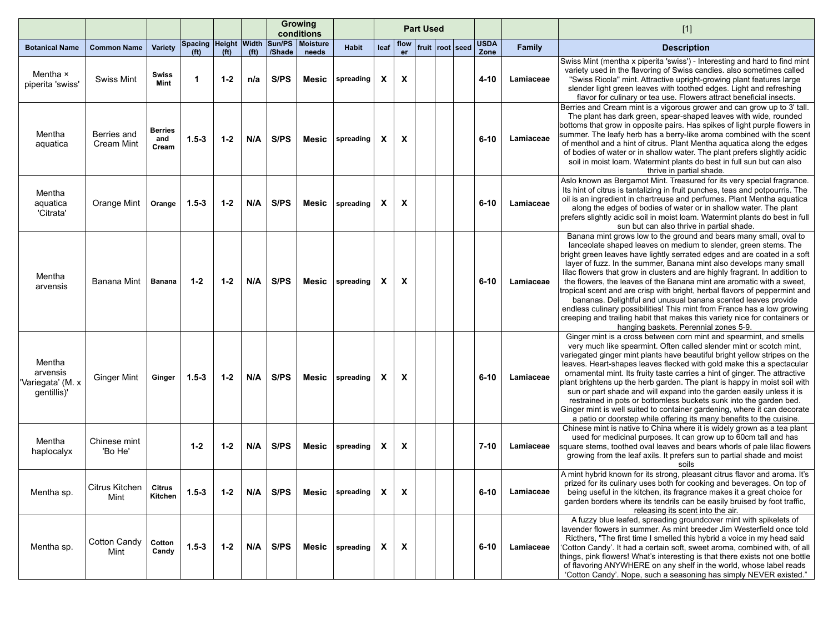|                                                        |                           |                                |                                           |                   |                   |              | <b>Growing</b><br>conditions |                         |              |      | <b>Part Used</b> |            |                     |           | $[1]$                                                                                                                                                                                                                                                                                                                                                                                                                                                                                                                                                                                                                                                                                                                                                                                           |
|--------------------------------------------------------|---------------------------|--------------------------------|-------------------------------------------|-------------------|-------------------|--------------|------------------------------|-------------------------|--------------|------|------------------|------------|---------------------|-----------|-------------------------------------------------------------------------------------------------------------------------------------------------------------------------------------------------------------------------------------------------------------------------------------------------------------------------------------------------------------------------------------------------------------------------------------------------------------------------------------------------------------------------------------------------------------------------------------------------------------------------------------------------------------------------------------------------------------------------------------------------------------------------------------------------|
| <b>Botanical Name</b>                                  | <b>Common Name</b>        | Variety                        | Spacing Height Width<br>(f <sup>t</sup> ) | (f <sup>t</sup> ) | (f <sup>t</sup> ) | /Shade       | Sun/PS Moisture<br>needs     | <b>Habit</b>            | leaf         | flow | fruit            | root  seed | <b>USDA</b><br>Zone | Family    | <b>Description</b>                                                                                                                                                                                                                                                                                                                                                                                                                                                                                                                                                                                                                                                                                                                                                                              |
| Mentha ×<br>piperita 'swiss'                           | <b>Swiss Mint</b>         | <b>Swiss</b><br>Mint           | $\mathbf 1$                               | $1 - 2$           | n/a               | S/PS         | Mesic                        | spreading               | $\mathbf{x}$ | X    |                  |            | $4 - 10$            | Lamiaceae | Swiss Mint (mentha x piperita 'swiss') - Interesting and hard to find mint<br>variety used in the flavoring of Swiss candies. also sometimes called<br>"Swiss Ricola" mint. Attractive upright-growing plant features large<br>slender light green leaves with toothed edges. Light and refreshing<br>flavor for culinary or tea use. Flowers attract beneficial insects.                                                                                                                                                                                                                                                                                                                                                                                                                       |
| Mentha<br>aquatica                                     | Berries and<br>Cream Mint | <b>Berries</b><br>and<br>Cream | $1.5 - 3$                                 | $1 - 2$           | N/A               | S/PS         | Mesic                        | spreading               | X            | X    |                  |            | $6 - 10$            | Lamiaceae | Berries and Cream mint is a vigorous grower and can grow up to 3' tall.<br>The plant has dark green, spear-shaped leaves with wide, rounded<br>bottoms that grow in opposite pairs. Has spikes of light purple flowers in<br>summer. The leafy herb has a berry-like aroma combined with the scent<br>of menthol and a hint of citrus. Plant Mentha aquatica along the edges<br>of bodies of water or in shallow water. The plant prefers slightly acidic<br>soil in moist loam. Watermint plants do best in full sun but can also<br>thrive in partial shade.                                                                                                                                                                                                                                  |
| Mentha<br>aquatica<br>'Citrata'                        | Orange Mint               | Orange                         | $1.5 - 3$                                 | $1 - 2$           | N/A               | S/PS         | Mesic                        | spreading               | X            | X    |                  |            | $6 - 10$            | Lamiaceae | Aslo known as Bergamot Mint. Treasured for its very special fragrance.<br>Its hint of citrus is tantalizing in fruit punches, teas and potpourris. The<br>oil is an ingredient in chartreuse and perfumes. Plant Mentha aquatica<br>along the edges of bodies of water or in shallow water. The plant<br>prefers slightly acidic soil in moist loam. Watermint plants do best in full<br>sun but can also thrive in partial shade.                                                                                                                                                                                                                                                                                                                                                              |
| Mentha<br>arvensis                                     | Banana Mint               | <b>Banana</b>                  | $1 - 2$                                   | $1 - 2$           | N/A               | S/PS         | Mesic                        | spreading               | X            | X    |                  |            | $6 - 10$            | Lamiaceae | Banana mint grows low to the ground and bears many small, oval to<br>lanceolate shaped leaves on medium to slender, green stems. The<br>bright green leaves have lightly serrated edges and are coated in a soft<br>layer of fuzz. In the summer, Banana mint also develops many small<br>lilac flowers that grow in clusters and are highly fragrant. In addition to<br>the flowers, the leaves of the Banana mint are aromatic with a sweet,<br>tropical scent and are crisp with bright, herbal flavors of peppermint and<br>bananas. Delightful and unusual banana scented leaves provide<br>endless culinary possibilities! This mint from France has a low growing<br>creeping and trailing habit that makes this variety nice for containers or<br>hanging baskets. Perennial zones 5-9. |
| Mentha<br>arvensis<br>'Variegata' (M. x<br>gentillis)' | <b>Ginger Mint</b>        | Ginger                         | $1.5 - 3$                                 | $1 - 2$           | N/A               | S/PS         | Mesic                        | spreading               | X            | X    |                  |            | $6 - 10$            | Lamiaceae | Ginger mint is a cross between corn mint and spearmint, and smells<br>very much like spearmint. Often called slender mint or scotch mint,<br>variegated ginger mint plants have beautiful bright yellow stripes on the<br>leaves. Heart-shapes leaves flecked with gold make this a spectacular<br>ornamental mint. Its fruity taste carries a hint of ginger. The attractive<br>plant brightens up the herb garden. The plant is happy in moist soil with<br>sun or part shade and will expand into the garden easily unless it is<br>restrained in pots or bottomless buckets sunk into the garden bed.<br>Ginger mint is well suited to container gardening, where it can decorate<br>a patio or doorstep while offering its many benefits to the cuisine.                                   |
| Mentha<br>haplocalyx                                   | Chinese mint<br>'Bo He'   |                                | $1 - 2$                                   | $1 - 2$           | N/A               | S/PS         | Mesic                        | spreading               | X            | X    |                  |            | $7 - 10$            | Lamiaceae | Chinese mint is native to China where it is widely grown as a tea plant<br>used for medicinal purposes. It can grow up to 60cm tall and has<br>square stems, toothed oval leaves and bears whorls of pale lilac flowers<br>growing from the leaf axils. It prefers sun to partial shade and moist<br>soils                                                                                                                                                                                                                                                                                                                                                                                                                                                                                      |
| Mentha sp.                                             | Citrus Kitchen<br>Mint    | Citrus<br>Kitchen              | $1.5 - 3$                                 | $1-2$             |                   | $N/A$ S/PS   |                              | Mesic   spreading $ X $ |              | X    |                  |            | 6-10                | Lamiaceae | A mint hybrid known for its strong, pleasant citrus flavor and aroma. It's<br>prized for its culinary uses both for cooking and beverages. On top of<br>being useful in the kitchen, its fragrance makes it a great choice for<br>garden borders where its tendrils can be easily bruised by foot traffic,<br>releasing its scent into the air.                                                                                                                                                                                                                                                                                                                                                                                                                                                 |
| Mentha sp.                                             | Cotton Candy<br>Mint      | Cotton<br>Candy                | $1.5 - 3$                                 | $1 - 2$           |                   | $N/A$ $S/PS$ |                              | Mesic   spreading       | X            | X    |                  |            | $6 - 10$            | Lamiaceae | A fuzzy blue leafed, spreading groundcover mint with spikelets of<br>lavender flowers in summer. As mint breeder Jim Westerfield once told<br>Ricthers, "The first time I smelled this hybrid a voice in my head said<br>'Cotton Candy'. It had a certain soft, sweet aroma, combined with, of all<br>things, pink flowers! What's interesting is that there exists not one bottle<br>of flavoring ANYWHERE on any shelf in the world, whose label reads<br>'Cotton Candy'. Nope, such a seasoning has simply NEVER existed."                                                                                                                                                                                                                                                                   |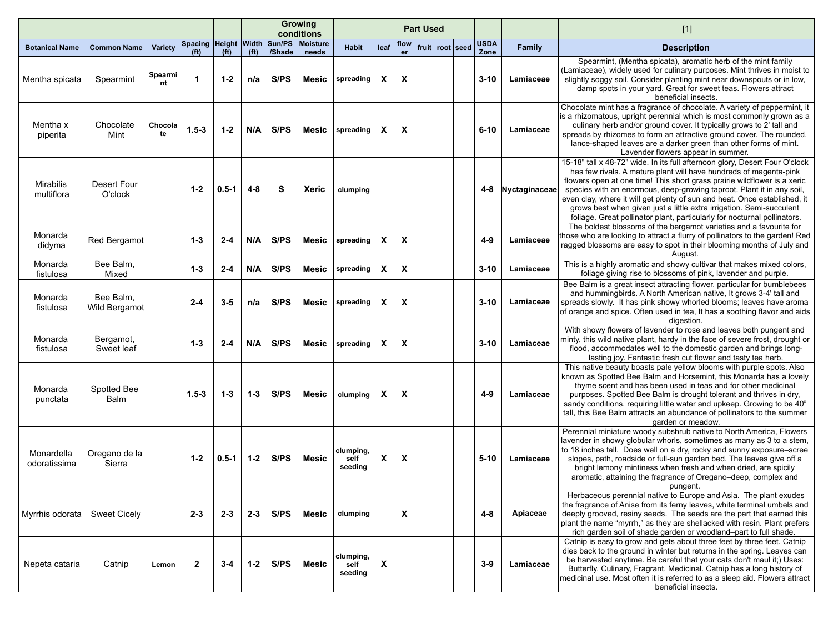|                                |                            |               |                                     |                                   |                   |          | Growing<br>conditions      |                              |                           |                           | <b>Part Used</b> |                   |                     |               | $[1]$                                                                                                                                                                                                                                                                                                                                                                                                                                                                                                                                  |
|--------------------------------|----------------------------|---------------|-------------------------------------|-----------------------------------|-------------------|----------|----------------------------|------------------------------|---------------------------|---------------------------|------------------|-------------------|---------------------|---------------|----------------------------------------------------------------------------------------------------------------------------------------------------------------------------------------------------------------------------------------------------------------------------------------------------------------------------------------------------------------------------------------------------------------------------------------------------------------------------------------------------------------------------------------|
| <b>Botanical Name</b>          | <b>Common Name</b>         | Variety       | <b>Spacing</b><br>(f <sup>t</sup> ) | Height Width<br>(f <sup>t</sup> ) | (f <sup>t</sup> ) | /Shade   | Sun/PS   Moisture<br>needs | <b>Habit</b>                 | leaf                      | flow<br>er                |                  | fruit  root  seed | <b>USDA</b><br>Zone | Family        | <b>Description</b>                                                                                                                                                                                                                                                                                                                                                                                                                                                                                                                     |
| Mentha spicata                 | Spearmint                  | Spearmi<br>nt | 1                                   | $1 - 2$                           | n/a               | S/PS     | Mesic                      | spreading                    | X                         | $\boldsymbol{\mathsf{x}}$ |                  |                   | 3-10                | Lamiaceae     | Spearmint, (Mentha spicata), aromatic herb of the mint family<br>(Lamiaceae), widely used for culinary purposes. Mint thrives in moist to<br>slightly soggy soil. Consider planting mint near downspouts or in low,<br>damp spots in your yard. Great for sweet teas. Flowers attract<br>beneficial insects.                                                                                                                                                                                                                           |
| Mentha x<br>piperita           | Chocolate<br>Mint          | Chocola<br>te | $1.5 - 3$                           | $1 - 2$                           | N/A               | S/PS     | Mesic                      | spreading                    | $\mathbf{x}$              | $\boldsymbol{\mathsf{x}}$ |                  |                   | $6 - 10$            | Lamiaceae     | Chocolate mint has a fragrance of chocolate. A variety of peppermint, it<br>is a rhizomatous, upright perennial which is most commonly grown as a<br>culinary herb and/or ground cover. It typically grows to 2' tall and<br>spreads by rhizomes to form an attractive ground cover. The rounded,<br>lance-shaped leaves are a darker green than other forms of mint.<br>Lavender flowers appear in summer.                                                                                                                            |
| <b>Mirabilis</b><br>multiflora | Desert Four<br>O'clock     |               | $1 - 2$                             | $0.5 - 1$                         | $4 - 8$           | <b>S</b> | <b>Xeric</b>               | clumping                     |                           |                           |                  |                   | 4-8                 | Nyctaginaceae | 15-18" tall x 48-72" wide. In its full afternoon glory, Desert Four O'clock<br>has few rivals. A mature plant will have hundreds of magenta-pink<br>flowers open at one time! This short grass prairie wildflower is a xeric<br>species with an enormous, deep-growing taproot. Plant it in any soil,<br>even clay, where it will get plenty of sun and heat. Once established, it<br>grows best when given just a little extra irrigation. Semi-succulent<br>foliage. Great pollinator plant, particularly for nocturnal pollinators. |
| Monarda<br>didyma              | Red Bergamot               |               | $1 - 3$                             | $2 - 4$                           | N/A               | S/PS     | Mesic                      | spreading                    | X                         | $\boldsymbol{\mathsf{x}}$ |                  |                   | 4-9                 | Lamiaceae     | The boldest blossoms of the bergamot varieties and a favourite for<br>those who are looking to attract a flurry of pollinators to the garden! Red<br>ragged blossoms are easy to spot in their blooming months of July and<br>August.                                                                                                                                                                                                                                                                                                  |
| Monarda<br>fistulosa           | Bee Balm,<br>Mixed         |               | $1 - 3$                             | $2 - 4$                           | N/A               | S/PS     | <b>Mesic</b>               | spreading                    | $\boldsymbol{\mathsf{X}}$ | $\boldsymbol{\mathsf{x}}$ |                  |                   | $3 - 10$            | Lamiaceae     | This is a highly aromatic and showy cultivar that makes mixed colors,<br>foliage giving rise to blossoms of pink, lavender and purple.                                                                                                                                                                                                                                                                                                                                                                                                 |
| Monarda<br>fistulosa           | Bee Balm,<br>Wild Bergamot |               | $2 - 4$                             | $3-5$                             | n/a               | S/PS     | Mesic                      | spreading                    | $\mathbf{x}$              | $\boldsymbol{\mathsf{x}}$ |                  |                   | $3 - 10$            | Lamiaceae     | Bee Balm is a great insect attracting flower, particular for bumblebees<br>and hummingbirds. A North American native, It grows 3-4' tall and<br>spreads slowly. It has pink showy whorled blooms; leaves have aroma<br>of orange and spice. Often used in tea, It has a soothing flavor and aids<br>digestion.                                                                                                                                                                                                                         |
| Monarda<br>fistulosa           | Bergamot,<br>Sweet leaf    |               | $1 - 3$                             | $2 - 4$                           | N/A               | S/PS     | <b>Mesic</b>               | spreading                    | $\mathbf{x}$              | $\boldsymbol{\mathsf{x}}$ |                  |                   | $3 - 10$            | Lamiaceae     | With showy flowers of lavender to rose and leaves both pungent and<br>minty, this wild native plant, hardy in the face of severe frost, drought or<br>flood, accommodates well to the domestic garden and brings long-<br>lasting joy. Fantastic fresh cut flower and tasty tea herb.                                                                                                                                                                                                                                                  |
| Monarda<br>punctata            | Spotted Bee<br><b>Balm</b> |               | $1.5 - 3$                           | $1 - 3$                           | $1 - 3$           | S/PS     | Mesic                      | clumping                     | $\mathbf{x}$              | $\boldsymbol{\mathsf{x}}$ |                  |                   | 4-9                 | Lamiaceae     | This native beauty boasts pale yellow blooms with purple spots. Also<br>known as Spotted Bee Balm and Horsemint, this Monarda has a lovely<br>thyme scent and has been used in teas and for other medicinal<br>purposes. Spotted Bee Balm is drought tolerant and thrives in dry,<br>sandy conditions, requiring little water and upkeep. Growing to be 40"<br>tall, this Bee Balm attracts an abundance of pollinators to the summer<br>garden or meadow.                                                                             |
| Monardella<br>odoratissima     | Oregano de la<br>Sierra    |               | $1 - 2$                             | $0.5 - 1$                         | $1 - 2$           | S/PS     | Mesic                      | clumping,<br>self<br>seeding | X                         | $\boldsymbol{\mathsf{x}}$ |                  |                   | 5-10                | Lamiaceae     | Perennial miniature woody subshrub native to North America, Flowers<br>lavender in showy globular whorls, sometimes as many as 3 to a stem,<br>to 18 inches tall. Does well on a dry, rocky and sunny exposure-scree<br>slopes, path, roadside or full-sun garden bed. The leaves give off a<br>bright lemony mintiness when fresh and when dried, are spicily<br>aromatic, attaining the fragrance of Oregano-deep, complex and<br>pungent.                                                                                           |
| Myrrhis odorata                | <b>Sweet Cicely</b>        |               | $2 - 3$                             | $2 - 3$                           | $2 - 3$           | S/PS     | Mesic                      | clumping                     |                           | X                         |                  |                   | $4 - 8$             | Apiaceae      | Herbaceous perennial native to Europe and Asia. The plant exudes<br>the fragrance of Anise from its ferny leaves, white terminal umbels and<br>deeply grooved, resiny seeds. The seeds are the part that earned this<br>plant the name "myrrh," as they are shellacked with resin. Plant prefers<br>rich garden soil of shade garden or woodland-part to full shade.                                                                                                                                                                   |
| Nepeta cataria                 | Catnip                     | Lemon         | $\overline{2}$                      | $3 - 4$                           | $1 - 2$           | S/PS     | Mesic                      | clumping,<br>self<br>seeding | $\boldsymbol{\mathsf{X}}$ |                           |                  |                   | $3-9$               | Lamiaceae     | Catnip is easy to grow and gets about three feet by three feet. Catnip<br>dies back to the ground in winter but returns in the spring. Leaves can<br>be harvested anytime. Be careful that your cats don't maul it;) Uses:<br>Butterfly, Culinary, Fragrant, Medicinal. Catnip has a long history of<br>medicinal use. Most often it is referred to as a sleep aid. Flowers attract<br>beneficial insects.                                                                                                                             |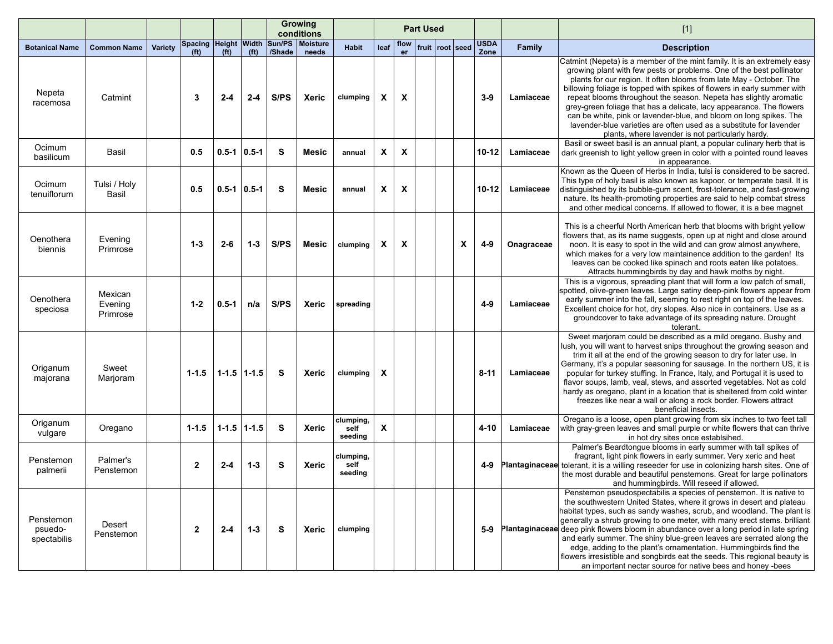|                                     |                                |                |                                           |                   |                   |          | Growing<br>conditions    |                              |                           |                           | <b>Part Used</b> |              |                     |            | $[1]$                                                                                                                                                                                                                                                                                                                                                                                                                                                                                                                                                                                                                                                                                    |
|-------------------------------------|--------------------------------|----------------|-------------------------------------------|-------------------|-------------------|----------|--------------------------|------------------------------|---------------------------|---------------------------|------------------|--------------|---------------------|------------|------------------------------------------------------------------------------------------------------------------------------------------------------------------------------------------------------------------------------------------------------------------------------------------------------------------------------------------------------------------------------------------------------------------------------------------------------------------------------------------------------------------------------------------------------------------------------------------------------------------------------------------------------------------------------------------|
| <b>Botanical Name</b>               | <b>Common Name</b>             | <b>Variety</b> | Spacing Height Width<br>(f <sup>t</sup> ) | (f <sup>t</sup> ) | (f <sup>t</sup> ) | /Shade   | Sun/PS Moisture<br>needs | <b>Habit</b>                 | leaf                      | flow                      | fruit            | root seed    | <b>USDA</b><br>Zone | Family     | <b>Description</b>                                                                                                                                                                                                                                                                                                                                                                                                                                                                                                                                                                                                                                                                       |
| Nepeta<br>racemosa                  | Catmint                        |                | 3                                         | $2 - 4$           | $2 - 4$           | S/PS     | Xeric                    | clumping                     | $\mathbf{x}$              | X                         |                  |              | $3-9$               | Lamiaceae  | Catmint (Nepeta) is a member of the mint family. It is an extremely easy<br>growing plant with few pests or problems. One of the best pollinator<br>plants for our region. It often blooms from late May - October. The<br>billowing foliage is topped with spikes of flowers in early summer with<br>repeat blooms throughout the season. Nepeta has slightly aromatic<br>grey-green foliage that has a delicate, lacy appearance. The flowers<br>can be white, pink or lavender-blue, and bloom on long spikes. The<br>lavender-blue varieties are often used as a substitute for lavender<br>plants, where lavender is not particularly hardy.                                        |
| Ocimum<br>basilicum                 | Basil                          |                | 0.5                                       | $0.5 - 1$ 0.5-1   |                   | <b>S</b> | <b>Mesic</b>             | annual                       | X                         | $\boldsymbol{\mathsf{x}}$ |                  |              | $10 - 12$           | Lamiaceae  | Basil or sweet basil is an annual plant, a popular culinary herb that is<br>dark greenish to light yellow green in color with a pointed round leaves<br>in appearance.                                                                                                                                                                                                                                                                                                                                                                                                                                                                                                                   |
| Ocimum<br>tenuiflorum               | Tulsi / Holy<br><b>Basil</b>   |                | 0.5                                       | $0.5 - 1$ 0.5-1   |                   | S        | Mesic                    | annual                       | X                         | $\boldsymbol{\mathsf{x}}$ |                  |              | $10 - 12$           | Lamiaceae  | Known as the Queen of Herbs in India, tulsi is considered to be sacred.<br>This type of holy basil is also known as kapoor, or temperate basil. It is<br>distinguished by its bubble-gum scent, frost-tolerance, and fast-growing<br>nature. Its health-promoting properties are said to help combat stress<br>and other medical concerns. If allowed to flower, it is a bee magnet                                                                                                                                                                                                                                                                                                      |
| Oenothera<br>biennis                | Evening<br>Primrose            |                | $1 - 3$                                   | $2 - 6$           | $1 - 3$           | S/PS     | Mesic                    | clumping                     | X                         | $\boldsymbol{\mathsf{x}}$ |                  | $\mathsf{x}$ | $4 - 9$             | Onagraceae | This is a cheerful North American herb that blooms with bright yellow<br>flowers that, as its name suggests, open up at night and close around<br>noon. It is easy to spot in the wild and can grow almost anywhere,<br>which makes for a very low maintainence addition to the garden! Its<br>leaves can be cooked like spinach and roots eaten like potatoes.<br>Attracts humming birds by day and hawk moths by night.                                                                                                                                                                                                                                                                |
| Oenothera<br>speciosa               | Mexican<br>Evening<br>Primrose |                | $1 - 2$                                   | $0.5 - 1$         | n/a               | S/PS     | <b>Xeric</b>             | spreading                    |                           |                           |                  |              | $4-9$               | Lamiaceae  | This is a vigorous, spreading plant that will form a low patch of small,<br>spotted, olive-green leaves. Large satiny deep-pink flowers appear from<br>early summer into the fall, seeming to rest right on top of the leaves.<br>Excellent choice for hot, dry slopes. Also nice in containers. Use as a<br>groundcover to take advantage of its spreading nature. Drought<br>tolerant.                                                                                                                                                                                                                                                                                                 |
| Origanum<br>majorana                | Sweet<br>Marjoram              |                | $1 - 1.5$                                 | $1 - 1.5$   1-1.5 |                   | S        | <b>Xeric</b>             | clumping                     | $\boldsymbol{\mathsf{x}}$ |                           |                  |              | $8 - 11$            | Lamiaceae  | Sweet marjoram could be described as a mild oregano. Bushy and<br>lush, you will want to harvest snips throughout the growing season and<br>trim it all at the end of the growing season to dry for later use. In<br>Germany, it's a popular seasoning for sausage. In the northern US, it is<br>popular for turkey stuffing. In France, Italy, and Portugal it is used to<br>flavor soups, lamb, veal, stews, and assorted vegetables. Not as cold<br>hardy as oregano, plant in a location that is sheltered from cold winter<br>freezes like near a wall or along a rock border. Flowers attract<br>beneficial insects.                                                               |
| Origanum<br>vulgare                 | Oregano                        |                | $1 - 1.5$                                 |                   | $1 - 1.5$   1-1.5 | <b>S</b> | <b>Xeric</b>             | clumping,<br>self<br>seeding | X                         |                           |                  |              | 4-10                | Lamiaceae  | Oregano is a loose, open plant growing from six inches to two feet tall<br>with gray-green leaves and small purple or white flowers that can thrive<br>in hot dry sites once establsihed.                                                                                                                                                                                                                                                                                                                                                                                                                                                                                                |
| Penstemon<br>palmerii               | Palmer's<br>Penstemon          |                | $\mathbf{2}$                              | $2 - 4$           | $1 - 3$           | S        | <b>Xeric</b>             | clumping,<br>self<br>seeding |                           |                           |                  |              | 4-9                 |            | Palmer's Beardtongue blooms in early summer with tall spikes of<br>fragrant, light pink flowers in early summer. Very xeric and heat<br>Plantaginaceae tolerant, it is a willing reseeder for use in colonizing harsh sites. One of<br>the most durable and beautiful penstemons. Great for large pollinators<br>and hummingbirds. Will reseed if allowed                                                                                                                                                                                                                                                                                                                                |
| Penstemon<br>psuedo-<br>spectabilis | Desert<br>Penstemon            |                | $\mathbf{2}$                              | $2 - 4$           | $1 - 3$           | s        | Xeric                    | clumping                     |                           |                           |                  |              | 5-9                 |            | Penstemon pseudospectabilis a species of penstemon. It is native to<br>the southwestern United States, where it grows in desert and plateau<br>habitat types, such as sandy washes, scrub, and woodland. The plant is<br>generally a shrub growing to one meter, with many erect stems. brilliant<br><b>Plantaginaceae</b> deep pink flowers bloom in abundance over a long period in late spring<br>and early summer. The shiny blue-green leaves are serrated along the<br>edge, adding to the plant's ornamentation. Hummingbirds find the<br>flowers irresistible and songbirds eat the seeds. This regional beauty is<br>an important nectar source for native bees and honey -bees |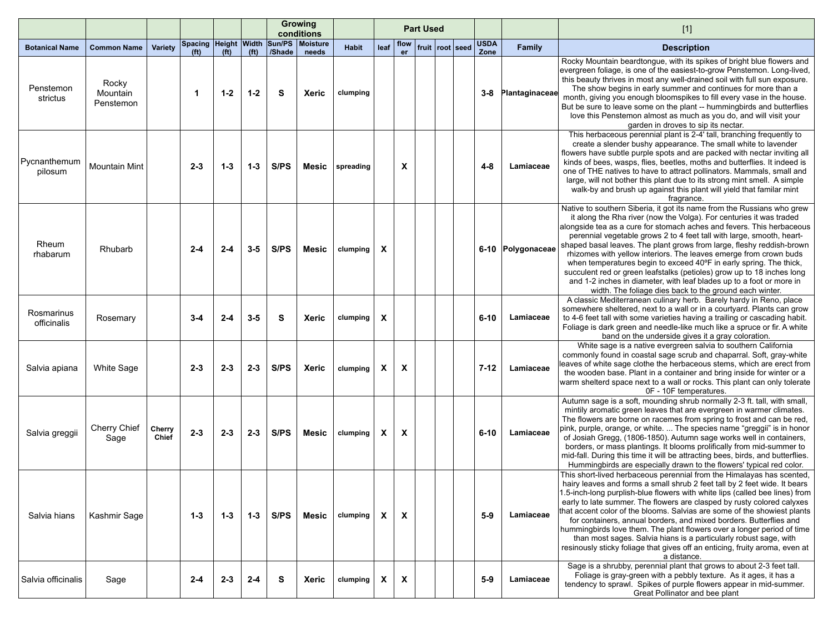|                           |                                |                 |                              |                                   |                   |        | Growing<br>conditions      |              |                           |                           | <b>Part Used</b> |            |                     |                   | $[1]$                                                                                                                                                                                                                                                                                                                                                                                                                                                                                                                                                                                                                                                                                                                            |
|---------------------------|--------------------------------|-----------------|------------------------------|-----------------------------------|-------------------|--------|----------------------------|--------------|---------------------------|---------------------------|------------------|------------|---------------------|-------------------|----------------------------------------------------------------------------------------------------------------------------------------------------------------------------------------------------------------------------------------------------------------------------------------------------------------------------------------------------------------------------------------------------------------------------------------------------------------------------------------------------------------------------------------------------------------------------------------------------------------------------------------------------------------------------------------------------------------------------------|
| <b>Botanical Name</b>     | <b>Common Name</b>             | Variety         | Spacing<br>(f <sup>t</sup> ) | Height Width<br>(f <sup>t</sup> ) | (f <sup>t</sup> ) | /Shade | Sun/PS   Moisture<br>needs | <b>Habit</b> | leaf                      | flow<br>er                | fruit            | root  seed | <b>USDA</b><br>Zone | Family            | <b>Description</b>                                                                                                                                                                                                                                                                                                                                                                                                                                                                                                                                                                                                                                                                                                               |
| Penstemon<br>strictus     | Rocky<br>Mountain<br>Penstemon |                 | 1                            | $1 - 2$                           | $1-2$             | S      | Xeric                      | clumping     |                           |                           |                  |            | $3-8$               | Plantaginaceae    | Rocky Mountain beardtongue, with its spikes of bright blue flowers and<br>evergreen foliage, is one of the easiest-to-grow Penstemon. Long-lived,<br>this beauty thrives in most any well-drained soil with full sun exposure.<br>The show begins in early summer and continues for more than a<br>month, giving you enough bloomspikes to fill every vase in the house.<br>But be sure to leave some on the plant -- hummingbirds and butterflies<br>love this Penstemon almost as much as you do, and will visit your<br>garden in droves to sip its nectar.                                                                                                                                                                   |
| Pycnanthemum<br>pilosum   | <b>Mountain Mint</b>           |                 | $2 - 3$                      | $1 - 3$                           | $1 - 3$           | S/PS   | Mesic                      | spreading    |                           | X                         |                  |            | $4 - 8$             | Lamiaceae         | This herbaceous perennial plant is 2-4' tall, branching frequently to<br>create a slender bushy appearance. The small white to lavender<br>flowers have subtle purple spots and are packed with nectar inviting all<br>kinds of bees, wasps, flies, beetles, moths and butterflies. It indeed is<br>one of THE natives to have to attract pollinators. Mammals, small and<br>large, will not bother this plant due to its strong mint smell. A simple<br>walk-by and brush up against this plant will yield that familar mint<br>fragrance.                                                                                                                                                                                      |
| Rheum<br>rhabarum         | Rhubarb                        |                 | $2 - 4$                      | $2 - 4$                           | $3-5$             | S/PS   | Mesic                      | clumping     | $\boldsymbol{\mathsf{x}}$ |                           |                  |            |                     | 6-10 Polygonaceae | Native to southern Siberia, it got its name from the Russians who grew<br>it along the Rha river (now the Volga). For centuries it was traded<br>alongside tea as a cure for stomach aches and fevers. This herbaceous<br>perennial vegetable grows 2 to 4 feet tall with large, smooth, heart-<br>shaped basal leaves. The plant grows from large, fleshy reddish-brown<br>rhizomes with yellow interiors. The leaves emerge from crown buds<br>when temperatures begin to exceed 40°F in early spring. The thick,<br>succulent red or green leafstalks (petioles) grow up to 18 inches long<br>and 1-2 inches in diameter, with leaf blades up to a foot or more in<br>width. The foliage dies back to the ground each winter. |
| Rosmarinus<br>officinalis | Rosemary                       |                 | $3 - 4$                      | $2 - 4$                           | $3-5$             | s      | Xeric                      | clumping     | $\boldsymbol{\mathsf{x}}$ |                           |                  |            | $6 - 10$            | Lamiaceae         | A classic Mediterranean culinary herb. Barely hardy in Reno, place<br>somewhere sheltered, next to a wall or in a courtyard. Plants can grow<br>to 4-6 feet tall with some varieties having a trailing or cascading habit.<br>Foliage is dark green and needle-like much like a spruce or fir. A white<br>band on the underside gives it a gray coloration.                                                                                                                                                                                                                                                                                                                                                                      |
| Salvia apiana             | <b>White Sage</b>              |                 | $2 - 3$                      | $2 - 3$                           | $2 - 3$           | S/PS   | Xeric                      | clumping     | X                         | $\boldsymbol{\mathsf{x}}$ |                  |            | $7 - 12$            | Lamiaceae         | White sage is a native evergreen salvia to southern California<br>commonly found in coastal sage scrub and chaparral. Soft, gray-white<br>leaves of white sage clothe the herbaceous stems, which are erect from<br>the wooden base. Plant in a container and bring inside for winter or a<br>warm shelterd space next to a wall or rocks. This plant can only tolerate<br>OF - 10F temperatures.                                                                                                                                                                                                                                                                                                                                |
| Salvia greggii            | Cherry Chief<br>Sage           | Cherry<br>Chief | $2 - 3$                      | $2 - 3$                           | $2 - 3$           | S/PS   | Mesic                      | clumping     | $\mathsf{x}$              | $\boldsymbol{\mathsf{x}}$ |                  |            | $6 - 10$            | Lamiaceae         | Autumn sage is a soft, mounding shrub normally 2-3 ft. tall, with small,<br>mintily aromatic green leaves that are evergreen in warmer climates.<br>The flowers are borne on racemes from spring to frost and can be red,<br>pink, purple, orange, or white.  The species name "greggii" is in honor<br>of Josiah Gregg, (1806-1850). Autumn sage works well in containers,<br>borders, or mass plantings. It blooms prolifically from mid-summer to<br>mid-fall. During this time it will be attracting bees, birds, and butterflies.<br>Hummingbirds are especially drawn to the flowers' typical red color.                                                                                                                   |
| Salvia hians              | Kashmir Sage                   |                 | $1 - 3$                      | 1-3                               | $1 - 3$           | S/PS   | Mesic                      | clumping     | $\boldsymbol{\mathsf{x}}$ | $\mathbf{x}$              |                  |            | $5-9$               | Lamiaceae         | This short-lived herbaceous perennial from the Himalayas has scented,<br>hairy leaves and forms a small shrub 2 feet tall by 2 feet wide. It bears<br>1.5-inch-long purplish-blue flowers with white lips (called bee lines) from<br>early to late summer. The flowers are clasped by rusty colored calyxes<br>that accent color of the blooms. Salvias are some of the showiest plants<br>for containers, annual borders, and mixed borders. Butterflies and<br>hummingbirds love them. The plant flowers over a longer period of time<br>than most sages. Salvia hians is a particularly robust sage, with<br>resinously sticky foliage that gives off an enticing, fruity aroma, even at<br>a distance.                       |
| Salvia officinalis        | Sage                           |                 | $2 - 4$                      | $2 - 3$                           | $2 - 4$           | S.     | Xeric                      | clumping     | $\mathbf{x}$              | $\mathbf{x}$              |                  |            | $5-9$               | Lamiaceae         | Sage is a shrubby, perennial plant that grows to about 2-3 feet tall.<br>Foliage is gray-green with a pebbly texture. As it ages, it has a<br>tendency to sprawl. Spikes of purple flowers appear in mid-summer.<br>Great Pollinator and bee plant                                                                                                                                                                                                                                                                                                                                                                                                                                                                               |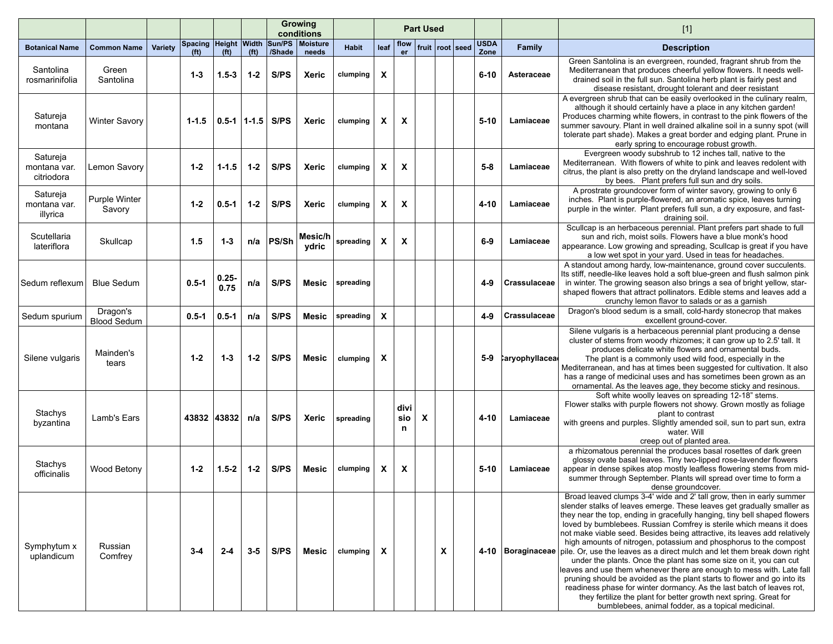|                                        |                                |         |                              |                            |                              |                          | Growing<br>conditions      |              |                           |                           | <b>Part Used</b> |                   |                     |                    | $[1]$                                                                                                                                                                                                                                                                                                                                                                                                                                                                                                                                                                                                                                                                                                                                                                                                                                                                                                                                                                           |
|----------------------------------------|--------------------------------|---------|------------------------------|----------------------------|------------------------------|--------------------------|----------------------------|--------------|---------------------------|---------------------------|------------------|-------------------|---------------------|--------------------|---------------------------------------------------------------------------------------------------------------------------------------------------------------------------------------------------------------------------------------------------------------------------------------------------------------------------------------------------------------------------------------------------------------------------------------------------------------------------------------------------------------------------------------------------------------------------------------------------------------------------------------------------------------------------------------------------------------------------------------------------------------------------------------------------------------------------------------------------------------------------------------------------------------------------------------------------------------------------------|
| <b>Botanical Name</b>                  | <b>Common Name</b>             | Variety | <b>Spacing</b>               | Height Width               |                              | /Shade                   | Sun/PS   Moisture<br>needs | <b>Habit</b> | leaf                      | flow<br>er                |                  | fruit  root  seed | <b>USDA</b><br>Zone | Family             | <b>Description</b>                                                                                                                                                                                                                                                                                                                                                                                                                                                                                                                                                                                                                                                                                                                                                                                                                                                                                                                                                              |
| Santolina<br>rosmarinifolia            | Green<br>Santolina             |         | (f <sup>t</sup> )<br>$1 - 3$ | (f <sup>t</sup> )<br>1.5-3 | (f <sup>t</sup> )<br>$1 - 2$ | S/PS                     | <b>Xeric</b>               | clumping     | $\boldsymbol{\mathsf{x}}$ |                           |                  |                   | 6-10                | Asteraceae         | Green Santolina is an evergreen, rounded, fragrant shrub from the<br>Mediterranean that produces cheerful yellow flowers. It needs well-<br>drained soil in the full sun. Santolina herb plant is fairly pest and<br>disease resistant, drought tolerant and deer resistant                                                                                                                                                                                                                                                                                                                                                                                                                                                                                                                                                                                                                                                                                                     |
| Satureja<br>montana                    | <b>Winter Savory</b>           |         | $1 - 1.5$                    |                            |                              | $0.5 - 1$   1-1.5   S/PS | <b>Xeric</b>               | clumping     | X                         | $\boldsymbol{\mathsf{x}}$ |                  |                   | 5-10                | Lamiaceae          | A evergreen shrub that can be easily overlooked in the culinary realm,<br>although it should certainly have a place in any kitchen garden!<br>Produces charming white flowers, in contrast to the pink flowers of the<br>summer savoury. Plant in well drained alkaline soil in a sunny spot (will<br>tolerate part shade). Makes a great border and edging plant. Prune in<br>early spring to encourage robust growth.                                                                                                                                                                                                                                                                                                                                                                                                                                                                                                                                                         |
| Satureja<br>montana var.<br>citriodora | Lemon Savory                   |         | $1 - 2$                      | $1 - 1.5$                  | $1 - 2$                      | S/PS                     | <b>Xeric</b>               | clumping     | $\mathbf{x}$              | $\boldsymbol{\mathsf{x}}$ |                  |                   | $5-8$               | Lamiaceae          | Evergreen woody subshrub to 12 inches tall, native to the<br>Mediterranean. With flowers of white to pink and leaves redolent with<br>citrus, the plant is also pretty on the dryland landscape and well-loved<br>by bees. Plant prefers full sun and dry soils.                                                                                                                                                                                                                                                                                                                                                                                                                                                                                                                                                                                                                                                                                                                |
| Satureja<br>montana var.<br>illyrica   | Purple Winter<br>Savory        |         | $1 - 2$                      | $0.5 - 1$                  | $1 - 2$                      | S/PS                     | <b>Xeric</b>               | clumping     | $\mathbf{x}$              | $\boldsymbol{\mathsf{x}}$ |                  |                   | 4-10                | Lamiaceae          | A prostrate groundcover form of winter savory, growing to only 6<br>inches. Plant is purple-flowered, an aromatic spice, leaves turning<br>purple in the winter. Plant prefers full sun, a dry exposure, and fast-<br>draining soil.                                                                                                                                                                                                                                                                                                                                                                                                                                                                                                                                                                                                                                                                                                                                            |
| Scutellaria<br>lateriflora             | Skullcap                       |         | 1.5                          | $1 - 3$                    | n/a                          | PS/Sh                    | Mesic/h<br>ydric           | spreading    | $\mathbf{x}$              | $\boldsymbol{\mathsf{x}}$ |                  |                   | $6-9$               | Lamiaceae          | Scullcap is an herbaceous perennial. Plant prefers part shade to full<br>sun and rich, moist soils. Flowers have a blue monk's hood<br>appearance. Low growing and spreading, Scullcap is great if you have<br>a low wet spot in your yard. Used in teas for headaches.                                                                                                                                                                                                                                                                                                                                                                                                                                                                                                                                                                                                                                                                                                         |
| Sedum reflexum                         | <b>Blue Sedum</b>              |         | $0.5 - 1$                    | $0.25 -$<br>0.75           | n/a                          | S/PS                     | Mesic                      | spreading    |                           |                           |                  |                   | 4-9                 | Crassulaceae       | A standout among hardy, low-maintenance, ground cover succulents.<br>Its stiff, needle-like leaves hold a soft blue-green and flush salmon pink<br>in winter. The growing season also brings a sea of bright yellow, star-<br>shaped flowers that attract pollinators. Edible stems and leaves add a<br>crunchy lemon flavor to salads or as a garnish                                                                                                                                                                                                                                                                                                                                                                                                                                                                                                                                                                                                                          |
| Sedum spurium                          | Dragon's<br><b>Blood Sedum</b> |         | $0.5 - 1$                    | $0.5 - 1$                  | n/a                          | S/PS                     | <b>Mesic</b>               | spreading    | $\boldsymbol{\mathsf{x}}$ |                           |                  |                   | 4-9                 | Crassulaceae       | Dragon's blood sedum is a small, cold-hardy stonecrop that makes<br>excellent ground-cover.                                                                                                                                                                                                                                                                                                                                                                                                                                                                                                                                                                                                                                                                                                                                                                                                                                                                                     |
| Silene vulgaris                        | Mainden's<br>tears             |         | $1 - 2$                      | $1 - 3$                    | $1 - 2$                      | S/PS                     | Mesic                      | clumping     | X                         |                           |                  |                   |                     | 5-9 caryophyllacea | Silene vulgaris is a herbaceous perennial plant producing a dense<br>cluster of stems from woody rhizomes; it can grow up to 2.5' tall. It<br>produces delicate white flowers and ornamental buds.<br>The plant is a commonly used wild food, especially in the<br>Mediterranean, and has at times been suggested for cultivation. It also<br>has a range of medicinal uses and has sometimes been grown as an<br>ornamental. As the leaves age, they become sticky and resinous.                                                                                                                                                                                                                                                                                                                                                                                                                                                                                               |
| Stachys<br>byzantina                   | Lamb's Ears                    |         | 43832                        | 43832                      | n/a                          | S/PS                     | Xeric                      | spreading    |                           | divi<br>sio<br>n          | X                |                   | 4-10                | Lamiaceae          | Soft white woolly leaves on spreading 12-18" stems.<br>Flower stalks with purple flowers not showy. Grown mostly as foliage<br>plant to contrast<br>with greens and purples. Slightly amended soil, sun to part sun, extra<br>water. Will<br>creep out of planted area.                                                                                                                                                                                                                                                                                                                                                                                                                                                                                                                                                                                                                                                                                                         |
| Stachys<br>officinalis                 | Wood Betony                    |         | $1 - 2$                      | 1.5-2                      | $1 - 2$                      | S/PS                     | <b>Mesic</b>               | clumping     | X                         | $\boldsymbol{\mathsf{x}}$ |                  |                   | 5-10                | Lamiaceae          | a rhizomatous perennial the produces basal rosettes of dark green<br>glossy ovate basal leaves. Tiny two-lipped rose-lavender flowers<br>appear in dense spikes atop mostly leafless flowering stems from mid-<br>summer through September. Plants will spread over time to form a<br>dense groundcover.                                                                                                                                                                                                                                                                                                                                                                                                                                                                                                                                                                                                                                                                        |
| Symphytum x<br>uplandicum              | Russian<br>Comfrey             |         | $3 - 4$                      | $2 - 4$                    | $3 - 5$                      | S/PS                     | Mesic                      | clumping     | $\boldsymbol{\mathsf{x}}$ |                           |                  | X                 |                     |                    | Broad leaved clumps 3-4' wide and 2' tall grow, then in early summer<br>slender stalks of leaves emerge. These leaves get gradually smaller as<br>they near the top, ending in gracefully hanging, tiny bell shaped flowers<br>loved by bumblebees. Russian Comfrey is sterile which means it does<br>not make viable seed. Besides being attractive, its leaves add relatively<br>high amounts of nitrogen, potassium and phosphorus to the compost<br>4-10 Boraginaceae pile. Or, use the leaves as a direct mulch and let them break down right<br>under the plants. Once the plant has some size on it, you can cut<br>leaves and use them whenever there are enough to mess with. Late fall<br>pruning should be avoided as the plant starts to flower and go into its<br>readiness phase for winter dormancy. As the last batch of leaves rot,<br>they fertilize the plant for better growth next spring. Great for<br>bumblebees, animal fodder, as a topical medicinal. |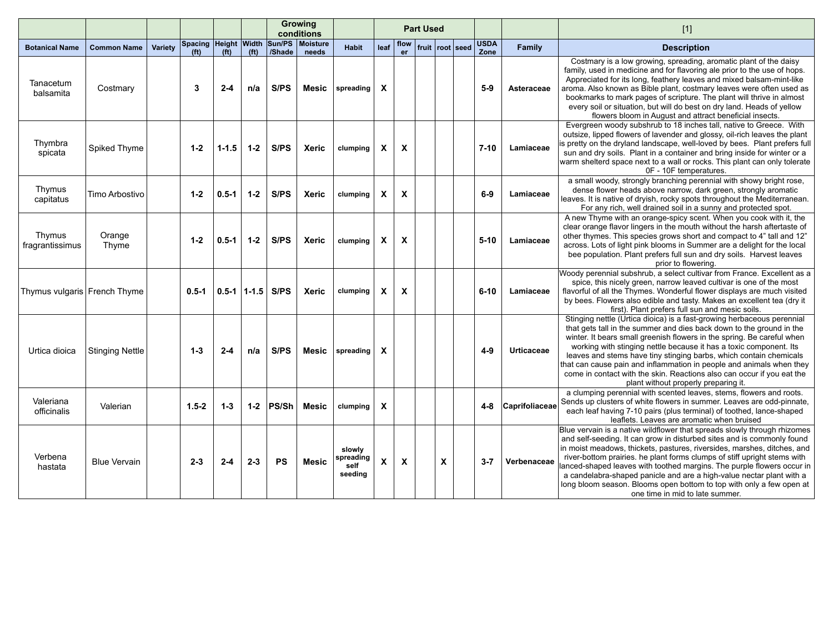|                              |                        |                |                   |                   |                   |           | Growing<br>conditions                         |                                        |                           |      | <b>Part Used</b> |   |           |                     |                | $[1]$                                                                                                                                                                                                                                                                                                                                                                                                                                                                                                                                                                  |
|------------------------------|------------------------|----------------|-------------------|-------------------|-------------------|-----------|-----------------------------------------------|----------------------------------------|---------------------------|------|------------------|---|-----------|---------------------|----------------|------------------------------------------------------------------------------------------------------------------------------------------------------------------------------------------------------------------------------------------------------------------------------------------------------------------------------------------------------------------------------------------------------------------------------------------------------------------------------------------------------------------------------------------------------------------------|
| <b>Botanical Name</b>        | <b>Common Name</b>     | <b>Variety</b> | (f <sup>t</sup> ) | (f <sup>t</sup> ) | (f <sup>t</sup> ) | /Shade    | Spacing Height Width Sun/PS Moisture<br>needs | <b>Habit</b>                           | leaf                      | flow | fruit            |   | root seed | <b>USDA</b><br>Zone | Family         | <b>Description</b>                                                                                                                                                                                                                                                                                                                                                                                                                                                                                                                                                     |
| Tanacetum<br>balsamita       | Costmary               |                | 3                 | $2 - 4$           | n/a               | S/PS      | Mesic                                         | spreading                              | X                         |      |                  |   |           | $5-9$               | Asteraceae     | Costmary is a low growing, spreading, aromatic plant of the daisy<br>family, used in medicine and for flavoring ale prior to the use of hops.<br>Appreciated for its long, feathery leaves and mixed balsam-mint-like<br>aroma. Also known as Bible plant, costmary leaves were often used as<br>bookmarks to mark pages of scripture. The plant will thrive in almost<br>every soil or situation, but will do best on dry land. Heads of yellow<br>flowers bloom in August and attract beneficial insects.                                                            |
| Thymbra<br>spicata           | Spiked Thyme           |                | $1 - 2$           | $1 - 1.5$         | $1-2$             | S/PS      | Xeric                                         | clumping                               | X                         | X    |                  |   |           | $7 - 10$            | Lamiaceae      | Evergreen woody subshrub to 18 inches tall, native to Greece. With<br>outsize, lipped flowers of lavender and glossy, oil-rich leaves the plant<br>is pretty on the dryland landscape, well-loved by bees. Plant prefers full<br>sun and dry soils. Plant in a container and bring inside for winter or a<br>warm shelterd space next to a wall or rocks. This plant can only tolerate<br>OF - 10F temperatures.                                                                                                                                                       |
| Thymus<br>capitatus          | Timo Arbostivo         |                | $1 - 2$           | $0.5 - 1$         | $1-2$             | S/PS      | Xeric                                         | clumping                               | $\boldsymbol{\mathsf{x}}$ | X    |                  |   |           | 6-9                 | Lamiaceae      | a small woody, strongly branching perennial with showy bright rose,<br>dense flower heads above narrow, dark green, strongly aromatic<br>leaves. It is native of dryish, rocky spots throughout the Mediterranean.<br>For any rich, well drained soil in a sunny and protected spot.                                                                                                                                                                                                                                                                                   |
| Thymus<br>fragrantissimus    | Orange<br>Thyme        |                | $1 - 2$           | $0.5 - 1$         | $1 - 2$           | S/PS      | Xeric                                         | clumping                               | X                         | X    |                  |   |           | $5 - 10$            | Lamiaceae      | A new Thyme with an orange-spicy scent. When you cook with it, the<br>clear orange flavor lingers in the mouth without the harsh aftertaste of<br>other thymes. This species grows short and compact to 4" tall and 12"<br>across. Lots of light pink blooms in Summer are a delight for the local<br>bee population. Plant prefers full sun and dry soils. Harvest leaves<br>prior to flowering.                                                                                                                                                                      |
| Thymus vulgaris French Thyme |                        |                | $0.5 - 1$         | $0.5 - 1$         | $1 - 1.5$         | S/PS      | <b>Xeric</b>                                  | clumping                               | $\boldsymbol{\mathsf{x}}$ | X    |                  |   |           | $6 - 10$            | Lamiaceae      | Woody perennial subshrub, a select cultivar from France. Excellent as a<br>spice, this nicely green, narrow leaved cultivar is one of the most<br>flavorful of all the Thymes. Wonderful flower displays are much visited<br>by bees. Flowers also edible and tasty. Makes an excellent tea (dry it<br>first). Plant prefers full sun and mesic soils.                                                                                                                                                                                                                 |
| Urtica dioica                | <b>Stinging Nettle</b> |                | $1 - 3$           | $2 - 4$           | n/a               | S/PS      | Mesic                                         | spreading                              | X                         |      |                  |   |           | $4-9$               | Urticaceae     | Stinging nettle (Urtica dioica) is a fast-growing herbaceous perennial<br>that gets tall in the summer and dies back down to the ground in the<br>winter. It bears small greenish flowers in the spring. Be careful when<br>working with stinging nettle because it has a toxic component. Its<br>leaves and stems have tiny stinging barbs, which contain chemicals<br>that can cause pain and inflammation in people and animals when they<br>come in contact with the skin. Reactions also can occur if you eat the<br>plant without properly preparing it.         |
| Valeriana<br>officinalis     | Valerian               |                | $1.5 - 2$         | $1 - 3$           | $1-2$             | PS/Sh     | Mesic                                         | clumping                               | $\boldsymbol{\mathsf{x}}$ |      |                  |   |           | 4-8                 | Caprifoliaceae | a clumping perennial with scented leaves, stems, flowers and roots.<br>Sends up clusters of white flowers in summer. Leaves are odd-pinnate,<br>each leaf having 7-10 pairs (plus terminal) of toothed, lance-shaped<br>leaflets. Leaves are aromatic when bruised                                                                                                                                                                                                                                                                                                     |
| Verbena<br>hastata           | <b>Blue Vervain</b>    |                | $2 - 3$           | $2 - 4$           | $2 - 3$           | <b>PS</b> | Mesic                                         | slowly<br>spreading<br>self<br>seeding | $\boldsymbol{\mathsf{x}}$ | X    |                  | X |           | $3 - 7$             | Verbenaceae    | Blue vervain is a native wildflower that spreads slowly through rhizomes<br>and self-seeding. It can grow in disturbed sites and is commonly found<br>in moist meadows, thickets, pastures, riversides, marshes, ditches, and<br>river-bottom prairies. he plant forms clumps of stiff upright stems with<br>lanced-shaped leaves with toothed margins. The purple flowers occur in<br>a candelabra-shaped panicle and are a high-value nectar plant with a<br>long bloom season. Blooms open bottom to top with only a few open at<br>one time in mid to late summer. |